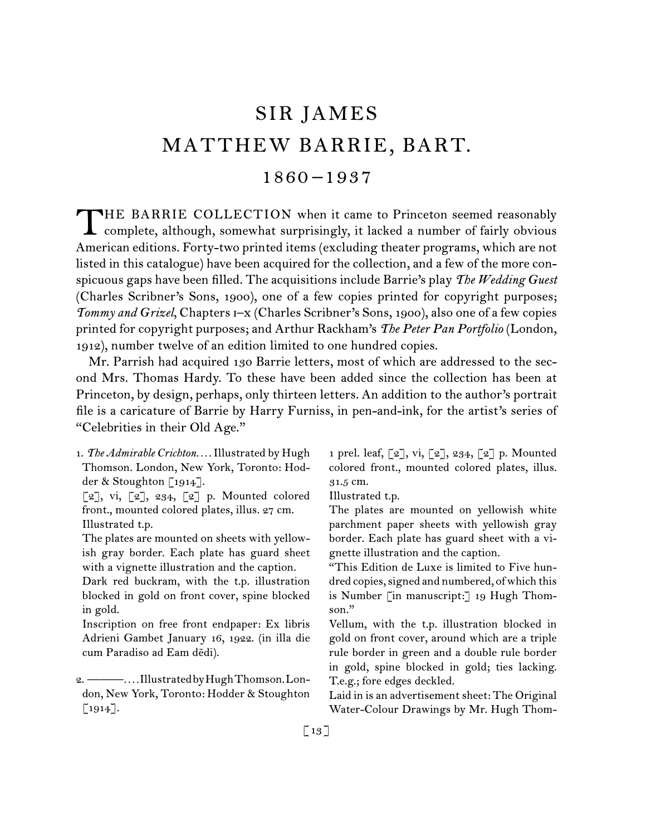# SIR JAMES MATTHEW BARRIE, BART. 1860 –1937

THE BARRIE COLLECTION when it came to Princeton seemed reasonably<br>complete, although, somewhat surprisingly, it lacked a number of fairly obvious American editions. Forty-two printed items (excluding theater programs, which are not listed in this catalogue) have been acquired for the collection, and a few of the more conspicuous gaps have been filled. The acquisitions include Barrie's play *The Wedding Guest* (Charles Scribner's Sons, 1900), one of a few copies printed for copyright purposes; *Tommy and Grizel*, Chapters i–x (Charles Scribner's Sons, 1900), also one of a few copies printed for copyright purposes; and Arthur Rackham's *The Peter Pan Portfolio* (London, 1912), number twelve of an edition limited to one hundred copies.

Mr. Parrish had acquired 130 Barrie letters, most of which are addressed to the second Mrs. Thomas Hardy. To these have been added since the collection has been at Princeton, by design, perhaps, only thirteen letters. An addition to the author's portrait file is a caricature of Barrie by Harry Furniss, in pen-and-ink, for the artist's series of "Celebrities in their Old Age."

- 1.  *The Admirable Crichton. . . .*Illustrated by Hugh Thomson. London, New York, Toronto: Hodder & Stoughton [1914].
- $[2]$ , vi,  $[2]$ , 234,  $[2]$  p. Mounted colored front., mounted colored plates, illus. 27 cm. Illustrated t.p.
- The plates are mounted on sheets with yellowish gray border. Each plate has guard sheet with a vignette illustration and the caption.
- Dark red buckram, with the t.p. illustration blocked in gold on front cover, spine blocked in gold.

Inscription on free front endpaper: Ex libris Adrieni Gambet January 16, 1922. (in illa die cum Paradiso ad Eam dēdi).

1 prel. leaf, [2], vi, [2], 234, [2] p. Mounted colored front., mounted colored plates, illus. 31.5 cm.

Illustrated t.p.

The plates are mounted on yellowish white parchment paper sheets with yellowish gray border. Each plate has guard sheet with a vignette illustration and the caption.

"This Edition de Luxe is limited to Five hundred copies, signed and numbered, of which this is Number [in manuscript:] 19 Hugh Thomson."

Vellum, with the t.p. illustration blocked in gold on front cover, around which are a triple rule border in green and a double rule border in gold, spine blocked in gold; ties lacking. T.e.g.; fore edges deckled.

Laid in is an advertisement sheet: The Original Water-Colour Drawings by Mr. Hugh Thom

<sup>2.  ———</sup>*. . . .*IllustratedbyHughThomson.London, New York, Toronto: Hodder & Stoughton [1914].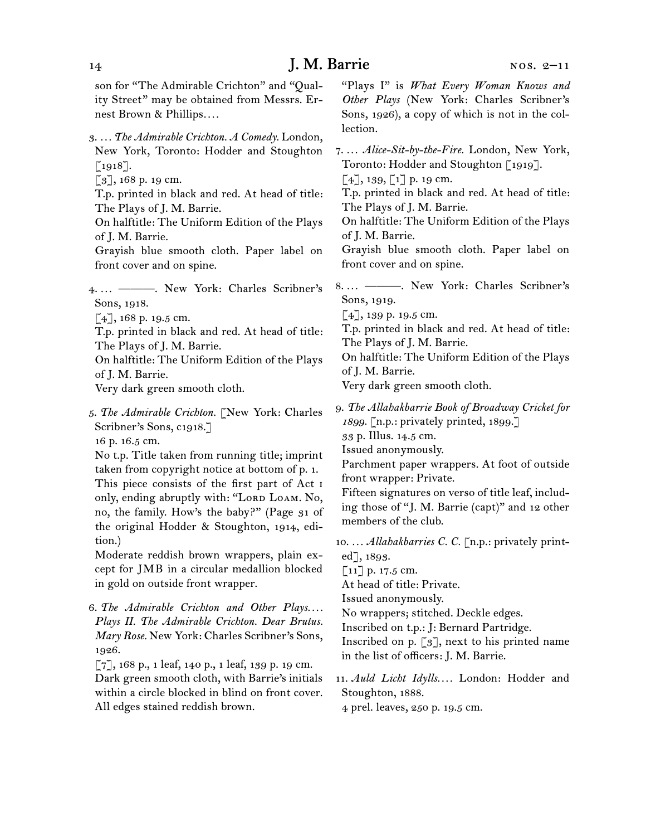son for "The Admirable Crichton" and "Quality Street" may be obtained from Messrs. Ernest Brown & Phillips*. . . .*

- 3.  *. . . The Admirable Crichton. A Comedy.* London, New York, Toronto: Hodder and Stoughton [1918].
- [3], 168 p. 19 cm.
- T.p. printed in black and red. At head of title: The Plays of J. M. Barrie.
- On halftitle: The Uniform Edition of the Plays of J. M. Barrie.
- Grayish blue smooth cloth. Paper label on front cover and on spine.
- 4.  *. . .* ———. New York: Charles Scribner's Sons, 1918.
	- [4], 168 p. 19.5 cm.
- T.p. printed in black and red. At head of title: The Plays of J. M. Barrie.
- On halftitle: The Uniform Edition of the Plays of J. M. Barrie.
- Very dark green smooth cloth.
- 5.  *The Admirable Crichton.* [New York: Charles Scribner's Sons, c1918.]
- 16 p. 16.5 cm.

No t.p. Title taken from running title; imprint taken from copyright notice at bottom of p. 1. This piece consists of the first part of Act i only, ending abruptly with: "LORD LOAM. No, no, the family. How's the baby?" (Page 31 of the original Hodder & Stoughton, 1914, edition.)

Moderate reddish brown wrappers, plain except for JMB in a circular medallion blocked in gold on outside front wrapper.

6.  *The Admirable Crichton and Other Plays. . . . Plays II. The Admirable Crichton. Dear Brutus. Mary Rose.* New York: Charles Scribner's Sons, 1926.

[7], 168 p., 1 leaf, 140 p., 1 leaf, 139 p. 19 cm. Dark green smooth cloth, with Barrie's initials within a circle blocked in blind on front cover. All edges stained reddish brown.

"Plays I" is *What Every Woman Knows and Other Plays* (New York: Charles Scribner's Sons, 1926), a copy of which is not in the collection.

- 7.  *. . . Alice-Sit-by-the-Fire.* London, New York, Toronto: Hodder and Stoughton [1919].
- $[4]$ , 139,  $[1]$  p. 19 cm.

T.p. printed in black and red. At head of title: The Plays of J. M. Barrie.

On halftitle: The Uniform Edition of the Plays of J. M. Barrie.

Grayish blue smooth cloth. Paper label on front cover and on spine.

8.  *. . .* ———. New York: Charles Scribner's Sons, 1919.

[4], 139 p. 19.5 cm.

T.p. printed in black and red. At head of title: The Plays of J. M. Barrie.

On halftitle: The Uniform Edition of the Plays of J. M. Barrie.

Very dark green smooth cloth.

9.  *The Allahakbarrie Book of Broadway Cricket for 1899.* [n.p.: privately printed, 1899.]

33 p. Illus. 14.5 cm.

Issued anonymously.

Parchment paper wrappers. At foot of outside front wrapper: Private.

Fifteen signatures on verso of title leaf, including those of "J. M. Barrie (capt)" and 12 other members of the club.

10.  *. . . Allahakbarries C. C.* [n.p.: privately printed], 1893.

[11] p. 17.5 cm.

At head of title: Private.

Issued anonymously.

No wrappers; stitched. Deckle edges.

Inscribed on t.p.: J: Bernard Partridge.

Inscribed on p.  $\lbrack 3 \rbrack$ , next to his printed name in the list of officers: J. M. Barrie.

11.  *Auld Licht Idylls. . . .* London: Hodder and Stoughton, 1888.

4 prel. leaves, 250 p. 19.5 cm.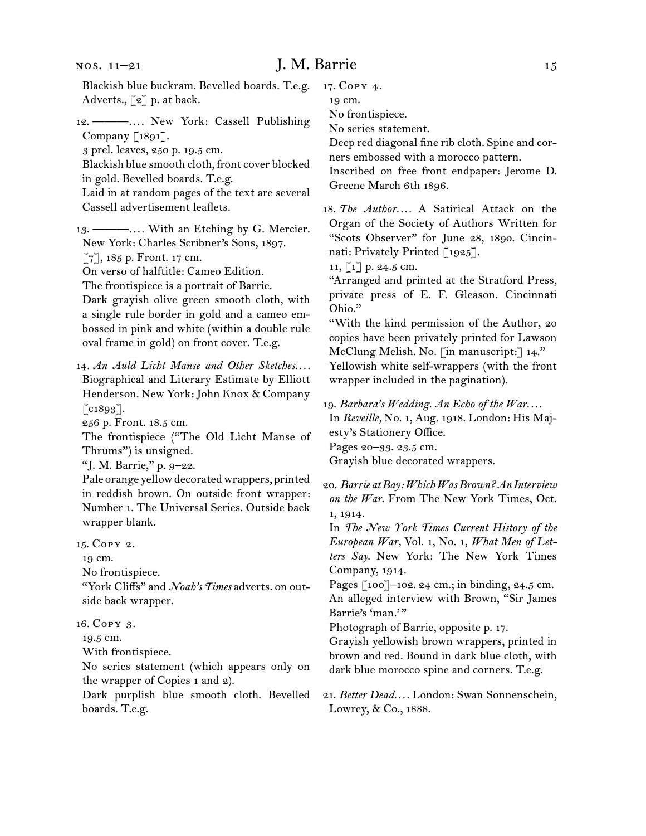#### nos. 11–21

# J. M. Barrie 15

Blackish blue buckram. Bevelled boards. T.e.g. Adverts., [2] p. at back.

12.  ———*. . . .* New York: Cassell Publishing Company [1891].

3 prel. leaves, 250 p. 19.5 cm.

Blackish blue smooth cloth, front cover blocked in gold. Bevelled boards. T.e.g.

Laid in at random pages of the text are several Cassell advertisement leaflets.

13.  ———*. . . .* With an Etching by G. Mercier. New York: Charles Scribner's Sons, 1897.

[7], 185 p. Front. 17 cm.

On verso of halftitle: Cameo Edition.

The frontispiece is a portrait of Barrie.

Dark grayish olive green smooth cloth, with a single rule border in gold and a cameo embossed in pink and white (within a double rule oval frame in gold) on front cover. T.e.g.

14.  *An Auld Licht Manse and Other Sketches. . . .* Biographical and Literary Estimate by Elliott Henderson. New York: John Knox & Company  $[$ c1893].

256 p. Front. 18.5 cm.

The frontispiece ("The Old Licht Manse of Thrums") is unsigned.

"J. M. Barrie," p. 9–22.

Pale orange yellow decorated wrappers, printed in reddish brown. On outside front wrapper: Number 1. The Universal Series. Outside back wrapper blank.

15.  Copy 2.

19 cm.

No frontispiece.

"York Cliffs" and *Noah's Times* adverts. on outside back wrapper.

16.  Copy 3.

19.5 cm.

With frontispiece.

No series statement (which appears only on the wrapper of Copies 1 and 2).

Dark purplish blue smooth cloth. Bevelled boards. T.e.g.

17.  Copy 4.

19 cm.

No frontispiece.

No series statement.

Deep red diagonal fine rib cloth. Spine and corners embossed with a morocco pattern.

Inscribed on free front endpaper: Jerome D. Greene March 6th 1896.

18.  *The Author. . . .* A Satirical Attack on the Organ of the Society of Authors Written for "Scots Observer" for June 28, 1890. Cincinnati: Privately Printed [1925].

11, [1] p. 24.5 cm.

"Arranged and printed at the Stratford Press, private press of E. F. Gleason. Cincinnati Ohio."

"With the kind permission of the Author, 20 copies have been privately printed for Lawson McClung Melish. No. [in manuscript:] 14." Yellowish white self-wrappers (with the front wrapper included in the pagination).

19.  *Barbara's Wedding. An Echo of the War. . . .*

In *Reveille,* No. 1, Aug. 1918. London: His Majesty's Stationery Office.

Pages 20–33. 23.5 cm.

Grayish blue decorated wrappers.

20.  *Barrie at Bay: Which Was Brown? An Interview on the War*. From The New York Times, Oct. 1, 1914.

In *The New York Times Current History of the European War,* Vol. 1, No. 1, *What Men of Letters Say.* New York: The New York Times Company, 1914.

Pages [100]–102. 24 cm.; in binding, 24.5 cm. An alleged interview with Brown, "Sir James Barrie's 'man.'"

Photograph of Barrie, opposite p. 17.

Grayish yellowish brown wrappers, printed in brown and red. Bound in dark blue cloth, with dark blue morocco spine and corners. T.e.g.

21.  *Better Dead. . . .* London: Swan Sonnenschein, Lowrey, & Co., 1888.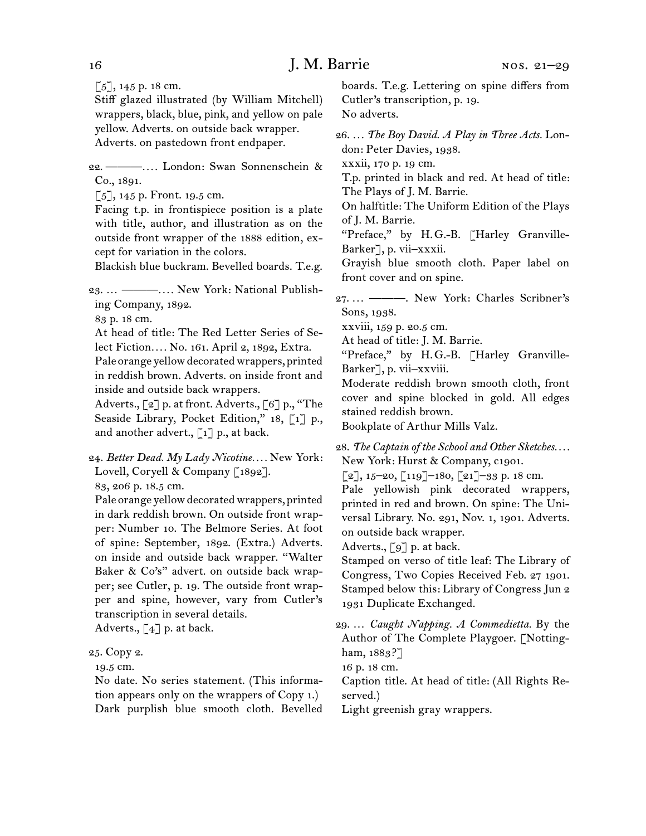$[5]$ , 145 p. 18 cm.

Stiff glazed illustrated (by William Mitchell) wrappers, black, blue, pink, and yellow on pale yellow. Adverts. on outside back wrapper. Adverts. on pastedown front endpaper.

22.  ———*. . . .* London: Swan Sonnenschein & Co., 1891.

 $[5]$ , 145 p. Front. 19.5 cm.

Facing t.p. in frontispiece position is a plate with title, author, and illustration as on the outside front wrapper of the 1888 edition, except for variation in the colors.

Blackish blue buckram. Bevelled boards. T.e.g.

23.  … ———*. . . .* New York: National Publishing Company, 1892.

83 p. 18 cm.

At head of title: The Red Letter Series of Select Fiction*. . . .* No. 161. April 2, 1892, Extra.

Pale orange yellow decorated wrappers, printed in reddish brown. Adverts. on inside front and inside and outside back wrappers.

Adverts., [2] p. at front. Adverts., [6] p., "The Seaside Library, Pocket Edition," 18, [1] p., and another advert.,  $\lceil 1 \rceil$  p., at back.

24.  *Better Dead. My Lady Nicotine. . . .* New York: Lovell, Coryell & Company [1892].

83, 206 p. 18.5 cm.

Pale orange yellow decorated wrappers, printed in dark reddish brown. On outside front wrapper: Number 10. The Belmore Series. At foot of spine: September, 1892. (Extra.) Adverts. on inside and outside back wrapper. "Walter Baker & Co's" advert. on outside back wrapper; see Cutler, p. 19. The outside front wrapper and spine, however, vary from Cutler's transcription in several details.

Adverts.,  $\lceil 4 \rceil$  p. at back.

#### 25.  Copy 2.

19.5 cm.

No date. No series statement. (This information appears only on the wrappers of Copy 1.) Dark purplish blue smooth cloth. Bevelled boards. T.e.g. Lettering on spine differs from Cutler's transcription, p. 19. No adverts.

26.  *. . . The Boy David. A Play in Three Acts.* London: Peter Davies, 1938.

xxxii, 170 p. 19 cm.

T.p. printed in black and red. At head of title: The Plays of J. M. Barrie.

On halftitle: The Uniform Edition of the Plays of J. M. Barrie*.*

"Preface," by H. G.-B. [Harley Granville-Barker], p. vii–xxxii.

Grayish blue smooth cloth. Paper label on front cover and on spine.

27.  *. . .* ———. New York: Charles Scribner's Sons, 1938.

xxviii, 159 p. 20.5 cm.

At head of title: J. M. Barrie.

"Preface," by H. G.-B. [Harley Granville-Barker], p. vii–xxviii.

Moderate reddish brown smooth cloth, front cover and spine blocked in gold. All edges stained reddish brown.

Bookplate of Arthur Mills Valz.

28.  *The Captain of the School and Other Sketches. . . .* New York: Hurst & Company, c1901.

 $[2]$ , 15–20,  $[119]$ –180,  $[21]$ –33 p. 18 cm.

Pale yellowish pink decorated wrappers, printed in red and brown. On spine: The Universal Library. No. 291, Nov. 1, 1901. Adverts. on outside back wrapper.

Adverts., [9] p. at back.

Stamped on verso of title leaf: The Library of Congress, Two Copies Received Feb. 27 1901. Stamped below this: Library of Congress Jun 2 1931 Duplicate Exchanged.

29.  … *Caught Napping. A Commedietta.* By the Author of The Complete Playgoer. [Nottingham, 1883?]

16 p. 18 cm.

Caption title. At head of title: (All Rights Reserved.)

Light greenish gray wrappers.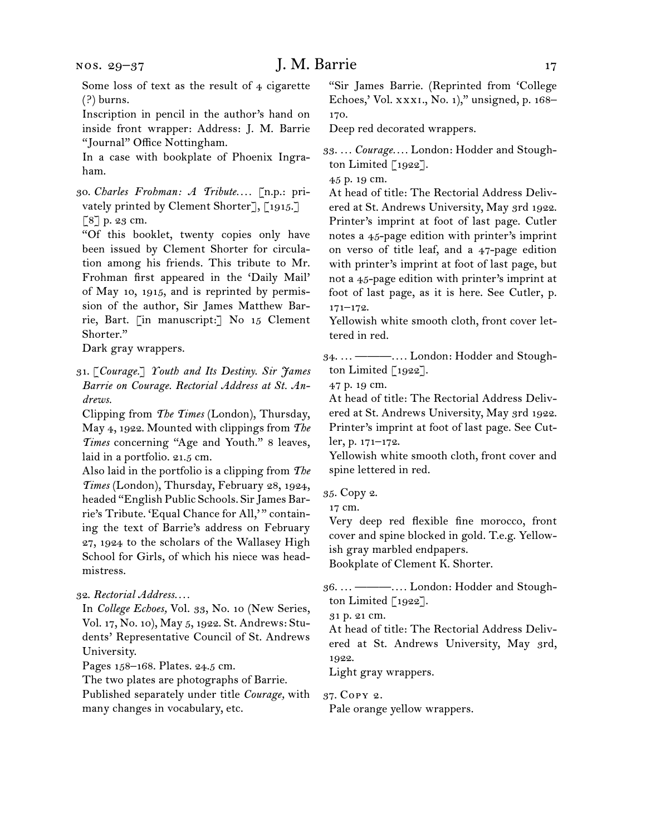Some loss of text as the result of 4 cigarette (?) burns.

Inscription in pencil in the author's hand on inside front wrapper: Address: J. M. Barrie "Journal" Office Nottingham.

In a case with bookplate of Phoenix Ingraham.

30.  *Charles Frohman: A Tribute. . . .* [n.p.: privately printed by Clement Shorter], [1915.] [8] p. 23 cm.

"Of this booklet, twenty copies only have been issued by Clement Shorter for circulation among his friends. This tribute to Mr. Frohman first appeared in the 'Daily Mail' of May 10, 1915, and is reprinted by permission of the author, Sir James Matthew Barrie, Bart. [in manuscript:] No 15 Clement Shorter."

Dark gray wrappers.

31.  [*Courage.*] *Youth and Its Destiny. Sir James Barrie on Courage. Rectorial Address at St. Andrews.*

Clipping from *The Times* (London), Thursday, May 4, 1922. Mounted with clippings from *The Times* concerning "Age and Youth." 8 leaves, laid in a portfolio. 21.5 cm.

Also laid in the portfolio is a clipping from *The Times* (London), Thursday, February 28, 1924, headed "English Public Schools. SirJames Barrie's Tribute. 'Equal Chance for All,' " containing the text of Barrie's address on February 27, 1924 to the scholars of the Wallasey High School for Girls, of which his niece was headmistress.

32.  *Rectorial Address. . . .*

In *College Echoes,* Vol. 33, No. 10 (New Series, Vol. 17, No. 10), May 5, 1922. St. Andrews: Students' Representative Council of St. Andrews University.

Pages 158–168. Plates. 24.5 cm.

The two plates are photographs of Barrie.

Published separately under title *Courage,* with many changes in vocabulary, etc.

"Sir James Barrie. (Reprinted from 'College Echoes,' Vol. xxxi., No. 1)," unsigned, p. 168– 170.

Deep red decorated wrappers.

33.  *. . . Courage. . . .* London: Hodder and Stoughton Limited  $\lceil 1922 \rceil$ .

45 p. 19 cm.

At head of title: The Rectorial Address Delivered at St. Andrews University, May 3rd 1922. Printer's imprint at foot of last page. Cutler notes a 45-page edition with printer's imprint on verso of title leaf, and a 47-page edition with printer's imprint at foot of last page, but not a 45-page edition with printer's imprint at foot of last page, as it is here. See Cutler, p.  $171 - 172.$ 

Yellowish white smooth cloth, front cover lettered in red.

34.  *. . .* ———*. . . .* London: Hodder and Stoughton Limited [1922].

47 p. 19 cm.

At head of title: The Rectorial Address Delivered at St. Andrews University, May 3rd 1922. Printer's imprint at foot of last page. See Cutler, p. 171–172.

Yellowish white smooth cloth, front cover and spine lettered in red.

35.  Copy 2.

17 cm.

Very deep red flexible fine morocco, front cover and spine blocked in gold. T.e.g. Yellowish gray marbled endpapers.

Bookplate of Clement K. Shorter.

36.  *. . .* ———*. . . .* London: Hodder and Stoughton Limited  $\lceil 1922 \rceil$ .

31 p. 21 cm.

At head of title: The Rectorial Address Delivered at St. Andrews University, May 3rd, 1922.

Light gray wrappers.

37.  Copy 2.

Pale orange yellow wrappers.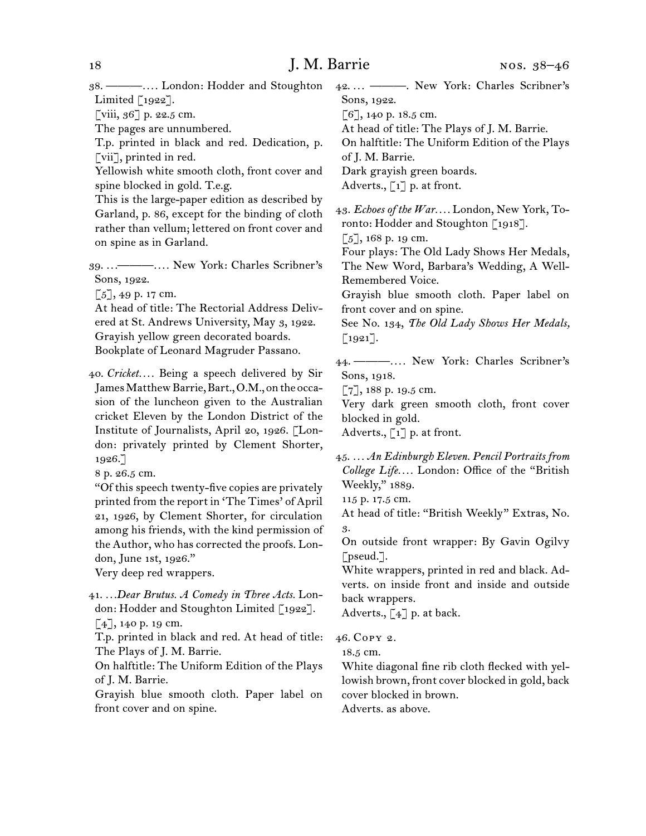38.  ———*. . . .* London: Hodder and Stoughton Limited  $\lceil 1922 \rceil$ .

[viii, 36] p. 22.5 cm.

The pages are unnumbered.

T.p. printed in black and red. Dedication, p. [vii], printed in red.

Yellowish white smooth cloth, front cover and spine blocked in gold. T.e.g.

This is the large-paper edition as described by Garland, p. 86, except for the binding of cloth rather than vellum; lettered on front cover and on spine as in Garland.

39.  *. . .*———*. . . .* New York: Charles Scribner's Sons, 1922.

 $[5]$ , 49 p. 17 cm.

At head of title: The Rectorial Address Delivered at St. Andrews University, May 3, 1922. Grayish yellow green decorated boards. Bookplate of Leonard Magruder Passano.

40.  *Cricket. . . .* Being a speech delivered by Sir James Matthew Barrie, Bart., O.M., on the occasion of the luncheon given to the Australian cricket Eleven by the London District of the Institute of Journalists, April 20, 1926. [London: privately printed by Clement Shorter, 1926.]

8 p. 26.5 cm.

"Of thisspeech twenty-five copies are privately printed from the report in 'The Times' of April 21, 1926, by Clement Shorter, for circulation among his friends, with the kind permission of the Author, who has corrected the proofs. London, June 1st, 1926."

Very deep red wrappers.

41.  *. . .Dear Brutus. A Comedy in Three Acts.* London: Hodder and Stoughton Limited [1922].  $[4]$ , 140 p. 19 cm.

T.p. printed in black and red. At head of title: The Plays of J. M. Barrie.

On halftitle: The Uniform Edition of the Plays of J. M. Barrie.

Grayish blue smooth cloth. Paper label on front cover and on spine.

42.  *. . .* ———. New York: Charles Scribner's Sons, 1922.

[6], 140 p. 18.5 cm.

At head of title: The Plays of J. M. Barrie.

On halftitle: The Uniform Edition of the Plays

of J. M. Barrie.

Dark grayish green boards.

Adverts.,  $\lceil 1 \rceil$  p. at front.

43.  *Echoes of the War. . . .* London, New York, Toronto: Hodder and Stoughton [1918].

 $[5]$ , 168 p. 19 cm.

Four plays: The Old Lady Shows Her Medals, The New Word, Barbara's Wedding, A Well-Remembered Voice.

Grayish blue smooth cloth. Paper label on front cover and on spine.

See No. 134, *The Old Lady Shows Her Medals,*  [1921].

44.  ———*. . . .* New York: Charles Scribner's Sons, 1918.

[7], 188 p. 19.5 cm.

Very dark green smooth cloth, front cover blocked in gold.

Adverts.,  $\begin{bmatrix} 1 \end{bmatrix}$  p. at front.

45.  *. . . An Edinburgh Eleven. Pencil Portraits from College Life. . . .* London: Office of the "British Weekly," 1889.

115 p. 17.5 cm.

At head of title: "British Weekly" Extras, No. 3.

On outside front wrapper: By Gavin Ogilvy [pseud.].

White wrappers, printed in red and black. Adverts. on inside front and inside and outside back wrappers.

Adverts.,  $\begin{bmatrix} 4 \end{bmatrix}$  p. at back.

46.  Copy 2.

18.5 cm.

White diagonal fine rib cloth flecked with yellowish brown, front cover blocked in gold, back cover blocked in brown.

Adverts. as above.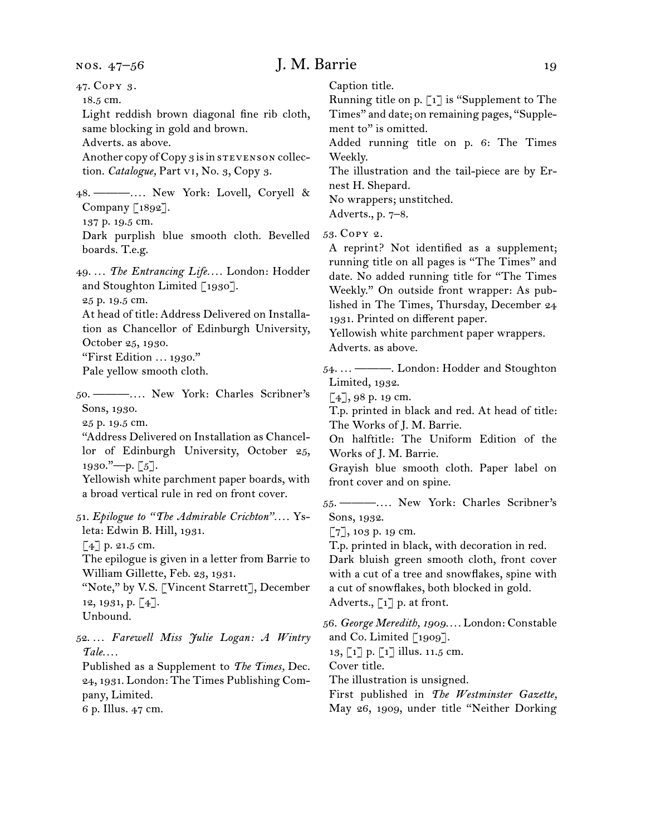# J. M. Barrie 19

47.  Copy 3. 18.5 cm. Light reddish brown diagonal fine rib cloth, same blocking in gold and brown. Adverts. as above. Another copy of Copy 3 is in STEVENSON collection. *Catalogue,* Part vi, No. 3, Copy 3. 48.  ———*. . . .* New York: Lovell, Coryell & Company [1892]. 137 p. 19.5 cm. Dark purplish blue smooth cloth. Bevelled boards. T.e.g. 49.  *. . . The Entrancing Life. . . .* London: Hodder and Stoughton Limited [1930]. 25 p. 19.5 cm. At head of title: Address Delivered on Installation as Chancellor of Edinburgh University, October 25, 1930. "First Edition *. . .* 1930." Pale yellow smooth cloth. 50.  ———*. . . .* New York: Charles Scribner's Sons, 1930. 25 p. 19.5 cm. "Address Delivered on Installation as Chancellor of Edinburgh University, October 25,  $1930.$ "—p. [5]. Yellowish white parchment paper boards, with a broad vertical rule in red on front cover. 51.  *Epilogue to "The Admirable Crichton". . . .* Ysleta: Edwin B. Hill, 1931. [4] p. 21.5 cm. The epilogue is given in a letter from Barrie to William Gillette, Feb. 23, 1931. "Note," by V. S. [Vincent Starrett], December 12, 1931, p. [4]. Unbound. 52.  *. . . Farewell Miss Julie Logan: A Wintry Tale. . . .* Published as a Supplement to *The Times,* Dec. 24, 1931. London: The Times Publishing Company, Limited.

6 p. Illus. 47 cm.

Caption title.

Running title on p. [1] is "Supplement to The Times" and date; on remaining pages, "Supplement to" is omitted.

Added running title on p. 6: The Times Weekly.

The illustration and the tail-piece are by Ernest H. Shepard.

No wrappers; unstitched.

Adverts., p. 7–8.

53.  Copy 2.

A reprint? Not identified as a supplement; running title on all pages is "The Times" and date. No added running title for "The Times Weekly." On outside front wrapper: As published in The Times, Thursday, December 24 1931. Printed on different paper.

Yellowish white parchment paper wrappers. Adverts. as above.

54.  *. . .* ———. London: Hodder and Stoughton Limited, 1932.

 $[4]$ , 98 p. 19 cm.

T.p. printed in black and red. At head of title: The Works of J. M. Barrie.

On halftitle: The Uniform Edition of the Works of J. M. Barrie.

Grayish blue smooth cloth. Paper label on front cover and on spine.

55.  ———*. . . .* New York: Charles Scribner's Sons, 1932.

[7], 103 p. 19 cm.

T.p. printed in black, with decoration in red.

Dark bluish green smooth cloth, front cover with a cut of a tree and snowflakes, spine with a cut of snowflakes, both blocked in gold. Adverts., [1] p. at front.

56.  *George Meredith, 1909. . . .* London: Constable and Co. Limited [1909].

13, [1] p. [1] illus. 11.5 cm.

Cover title.

The illustration is unsigned.

First published in *The Westminster Gazette,* 

May 26, 1909, under title "Neither Dorking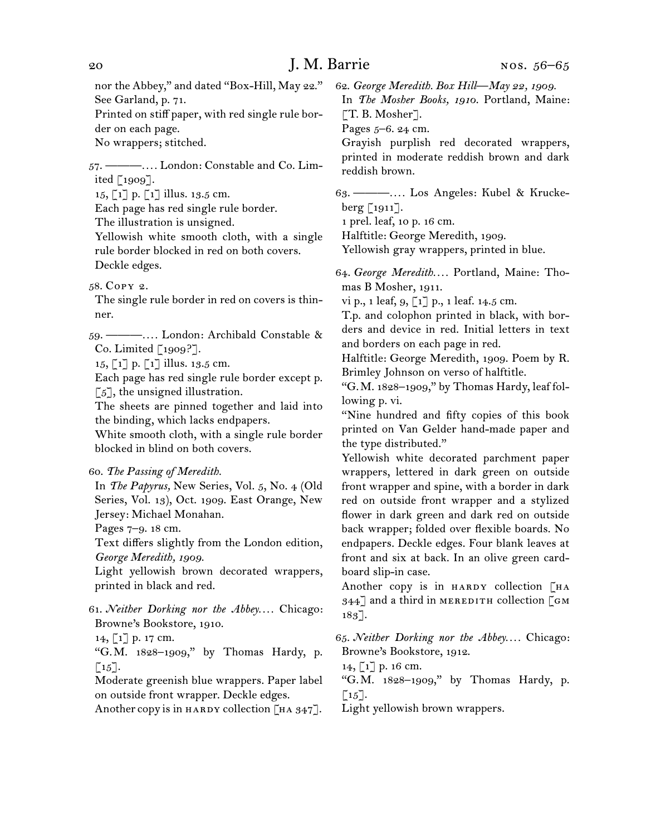nor the Abbey," and dated "Box-Hill, May 22." See Garland, p. 71.

Printed on stiff paper, with red single rule border on each page.

No wrappers; stitched.

57.  ———*. . . .* London: Constable and Co. Limited [1909].

15, [1] p. [1] illus. 13.5 cm.

Each page has red single rule border.

The illustration is unsigned.

Yellowish white smooth cloth, with a single rule border blocked in red on both covers. Deckle edges.

58.  Copy 2.

The single rule border in red on covers is thinner.

59.  ———*. . . .* London: Archibald Constable & Co. Limited [1909?].

15, [1] p. [1] illus. 13.5 cm.

Each page has red single rule border except p.  $\lceil 5 \rceil$ , the unsigned illustration.

The sheets are pinned together and laid into the binding, which lacks endpapers.

White smooth cloth, with a single rule border blocked in blind on both covers.

60.  *The Passing of Meredith.*

In *The Papyrus,* New Series, Vol. 5, No. 4 (Old Series, Vol. 13), Oct. 1909. East Orange, New Jersey: Michael Monahan.

Pages 7–9. 18 cm.

Text differs slightly from the London edition, *George Meredith, 1909.*

Light yellowish brown decorated wrappers, printed in black and red.

- 61.  *Neither Dorking nor the Abbey. . . .* Chicago: Browne's Bookstore, 1910.
- 14, [1] p. 17 cm.

"G. M. 1828–1909," by Thomas Hardy, p.  $\lceil 15 \rceil$ .

Moderate greenish blue wrappers. Paper label on outside front wrapper. Deckle edges.

Another copy is in HARDY collection  $\lceil H A 347 \rceil$ .

62.  *George Meredith. Box Hill—May 22, 1909.*

In *The Mosher Books, 1910*. Portland, Maine:  $\lceil$ T. B. Mosher].

Pages 5–6. 24 cm.

Grayish purplish red decorated wrappers, printed in moderate reddish brown and dark reddish brown.

63.  ———*. . . .* Los Angeles: Kubel & Kruckeberg [1911].

1 prel. leaf, 10 p. 16 cm.

Halftitle: George Meredith, 1909.

Yellowish gray wrappers, printed in blue.

64.  *George Meredith. . . .* Portland, Maine: Thomas B Mosher, 1911.

vi p., 1 leaf, 9, [1] p., 1 leaf. 14.5 cm.

T.p. and colophon printed in black, with borders and device in red. Initial letters in text and borders on each page in red.

Halftitle: George Meredith, 1909. Poem by R. Brimley Johnson on verso of halftitle.

"G. M. 1828–1909," by Thomas Hardy, leaf following p. vi.

"Nine hundred and fifty copies of this book printed on Van Gelder hand-made paper and the type distributed."

Yellowish white decorated parchment paper wrappers, lettered in dark green on outside front wrapper and spine, with a border in dark red on outside front wrapper and a stylized flower in dark green and dark red on outside back wrapper; folded over flexible boards. No endpapers. Deckle edges. Four blank leaves at front and six at back. In an olive green cardboard slip-in case.

Another copy is in HARDY collection [HA  $344$ ] and a third in MEREDITH collection [GM 183].

65.  *Neither Dorking nor the Abbey. . . .* Chicago: Browne's Bookstore, 1912.

14, [1] p. 16 cm.

"G. M. 1828–1909," by Thomas Hardy, p.  $\lceil 15 \rceil$ .

Light yellowish brown wrappers.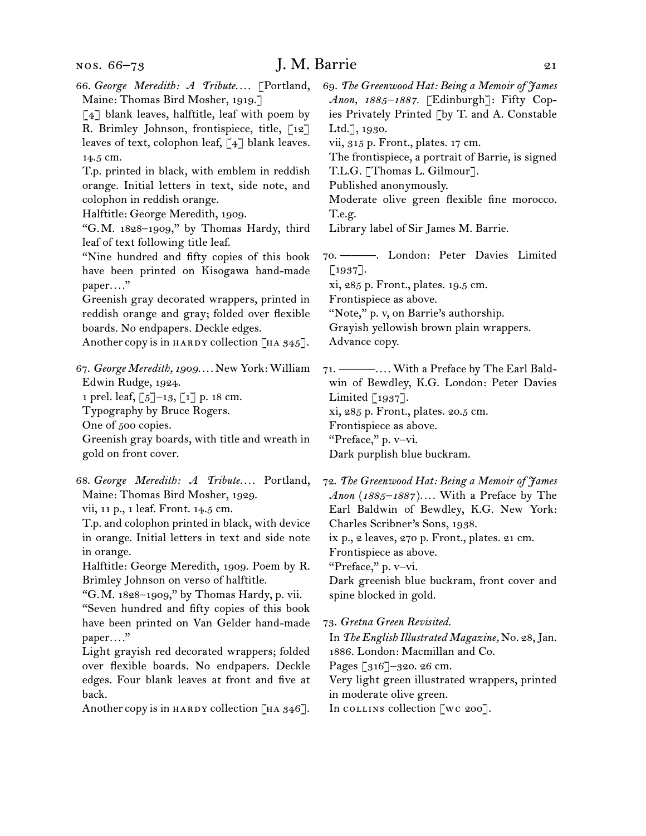# J. M. Barrie 21

| 66. George Meredith: A Tribute [Portland,<br>Maine: Thomas Bird Mosher, 1919.]<br>[4] blank leaves, halftitle, leaf with poem by<br>R. Brimley Johnson, frontispiece, title, [12]<br>leaves of text, colophon leaf, [4] blank leaves.<br>14.5 cm.<br>T.p. printed in black, with emblem in reddish<br>orange. Initial letters in text, side note, and<br>colophon in reddish orange.<br>Halftitle: George Meredith, 1909.<br>"G.M. 1828-1909," by Thomas Hardy, third<br>leaf of text following title leaf.<br>"Nine hundred and fifty copies of this book<br>have been printed on Kisogawa hand-made<br>paper"<br>Greenish gray decorated wrappers, printed in<br>reddish orange and gray; folded over flexible<br>boards. No endpapers. Deckle edges.<br>Another copy is in HARDY collection [HA 345]. | 69. The Greenwood Hat: Being a Memoir of James<br>Anon, 1885-1887. [Edinburgh]: Fifty Cop-<br>ies Privately Printed [by T. and A. Constable<br>Ltd.], $1930.$<br>vii, 315 p. Front., plates. 17 cm.<br>The frontispiece, a portrait of Barrie, is signed<br>T.L.G. [Thomas L. Gilmour].<br>Published anonymously.<br>Moderate olive green flexible fine morocco.<br>T.e.g.<br>Library label of Sir James M. Barrie.<br>70. ------ London: Peter Davies Limited<br>[1937].<br>xi, 285 p. Front., plates. 19.5 cm.<br>Frontispiece as above.<br>"Note," p. v, on Barrie's authorship.<br>Grayish yellowish brown plain wrappers.<br>Advance copy. |  |
|----------------------------------------------------------------------------------------------------------------------------------------------------------------------------------------------------------------------------------------------------------------------------------------------------------------------------------------------------------------------------------------------------------------------------------------------------------------------------------------------------------------------------------------------------------------------------------------------------------------------------------------------------------------------------------------------------------------------------------------------------------------------------------------------------------|-------------------------------------------------------------------------------------------------------------------------------------------------------------------------------------------------------------------------------------------------------------------------------------------------------------------------------------------------------------------------------------------------------------------------------------------------------------------------------------------------------------------------------------------------------------------------------------------------------------------------------------------------|--|
| 67. George Meredith, 1909 New York: William<br>Edwin Rudge, 1924.<br>1 prel. leaf, [5]-13, [1] p. 18 cm.<br>Typography by Bruce Rogers.<br>One of 500 copies.<br>Greenish gray boards, with title and wreath in<br>gold on front cover.                                                                                                                                                                                                                                                                                                                                                                                                                                                                                                                                                                  | 71. — —  With a Preface by The Earl Bald-<br>win of Bewdley, K.G. London: Peter Davies<br>Limited $[1937]$ .<br>xi, 285 p. Front., plates. 20.5 cm.<br>Frontispiece as above.<br>"Preface," p. v-vi.<br>Dark purplish blue buckram.                                                                                                                                                                                                                                                                                                                                                                                                             |  |
| 68. George Meredith: A Tribute Portland,<br>Maine: Thomas Bird Mosher, 1929.<br>vii, 11 p., 1 leaf. Front. 14.5 cm.<br>T.p. and colophon printed in black, with device<br>in orange. Initial letters in text and side note<br>in orange.<br>Halftitle: George Meredith, 1909. Poem by R.<br>Brimley Johnson on verso of halftitle.<br>"G.M. 1828-1909," by Thomas Hardy, p. vii.<br>"Seven hundred and fifty copies of this book<br>have been printed on Van Gelder hand-made<br>paper"<br>Light grayish red decorated wrappers; folded<br>over flexible boards. No endpapers. Deckle<br>edges. Four blank leaves at front and five at<br>back.<br>Another copy is in $H$ ARDY collection $[HA 346]$ .                                                                                                   | 72. The Greenwood Hat: Being a Memoir of James<br>Anon (1885-1887) With a Preface by The<br>Earl Baldwin of Bewdley, K.G. New York:<br>Charles Scribner's Sons, 1938.<br>ix p., 2 leaves, 270 p. Front., plates. 21 cm.<br>Frontispiece as above.<br>"Preface," p. v-vi.<br>Dark greenish blue buckram, front cover and<br>spine blocked in gold.<br>73. Gretna Green Revisited.<br>In The English Illustrated Magazine, No. 28, Jan.<br>1886. London: Macmillan and Co.<br>Pages [316]-320. 26 cm.<br>Very light green illustrated wrappers, printed<br>in moderate olive green.<br>In collection [wc 200].                                    |  |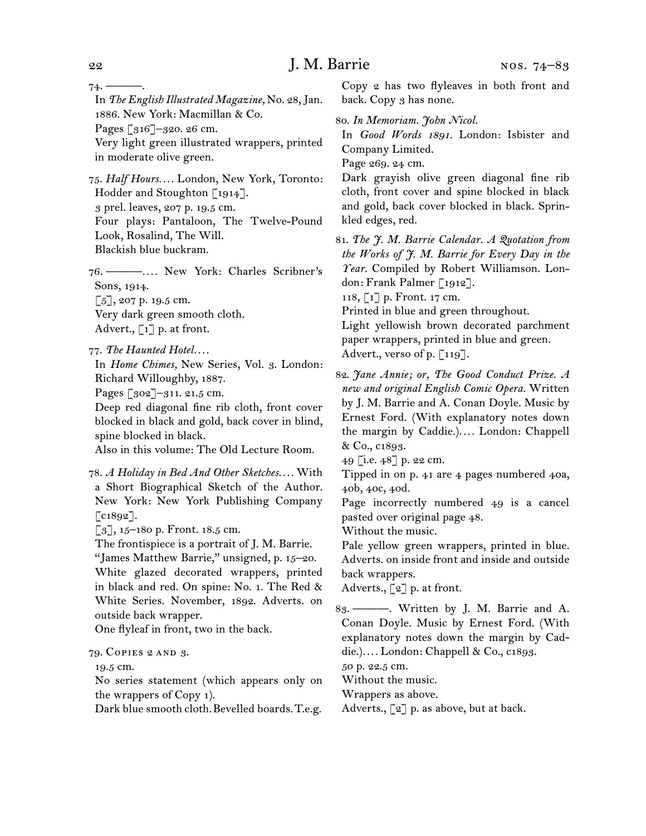$74. -$ 

In *The English Illustrated Magazine,* No. 28,Jan. 1886. New York: Macmillan & Co.

Pages [316]–320. 26 cm.

Very light green illustrated wrappers, printed in moderate olive green.

75.  *Half Hours. . . .* London, New York, Toronto: Hodder and Stoughton [1914]. 3 prel. leaves, 207 p. 19.5 cm. Four plays: Pantaloon, The Twelve-Pound

Look, Rosalind, The Will.

Blackish blue buckram.

76.  ———*. . . .* New York: Charles Scribner's Sons, 1914.  $\lceil 5 \rceil$ , 207 p. 19.5 cm.

Very dark green smooth cloth. Advert.,  $\lceil 1 \rceil$  p. at front.

77.  *The Haunted Hotel. . . .*

In *Home Chimes,* New Series, Vol. 3. London: Richard Willoughby, 1887.

Pages [302]–311. 21.5 cm.

Deep red diagonal fine rib cloth, front cover blocked in black and gold, back cover in blind, spine blocked in black.

Also in this volume: The Old Lecture Room.

78.  *A Holiday in Bed And Other Sketches. . . .* With a Short Biographical Sketch of the Author. New York: New York Publishing Company [c1892].

 $[3]$ , 15–180 p. Front. 18.5 cm.

The frontispiece is a portrait of J. M. Barrie.

"James Matthew Barrie," unsigned, p. 15–20.

White glazed decorated wrappers, printed in black and red. On spine: No. 1. The Red & White Series. November, 1892. Adverts. on outside back wrapper.

One flyleaf in front, two in the back.

#### 79.  Copies 2 and 3.

19.5 cm.

No series statement (which appears only on the wrappers of Copy 1).

Dark blue smooth cloth.Bevelled boards.T.e.g.

Copy 2 has two flyleaves in both front and back. Copy 3 has none.

80.  *In Memoriam. John Nicol.*

In *Good Words 1891.* London: Isbister and Company Limited.

Page 269. 24 cm.

Dark grayish olive green diagonal fine rib cloth, front cover and spine blocked in black and gold, back cover blocked in black. Sprinkled edges, red.

81.  *The J. M. Barrie Calendar. A Quotation from the Works of J. M. Barrie for Every Day in the Year.* Compiled by Robert Williamson. London: Frank Palmer [1912].

118, [1] p. Front. 17 cm.

Printed in blue and green throughout.

Light yellowish brown decorated parchment paper wrappers, printed in blue and green. Advert., verso of p. [119].

82.  *Jane Annie; or, The Good Conduct Prize. A new and original English Comic Opera.* Written by J. M. Barrie and A. Conan Doyle. Music by Ernest Ford. (With explanatory notes down the margin by Caddie.)*. . . .* London: Chappell & Co., c1893.

Tipped in on p. 41 are 4 pages numbered 40a, 40b, 40c, 40d.

Page incorrectly numbered 49 is a cancel pasted over original page 48.

Without the music.

Pale yellow green wrappers, printed in blue. Adverts. on inside front and inside and outside back wrappers.

Adverts., [2] p. at front.

83.  ———. Written by J. M. Barrie and A. Conan Doyle. Music by Ernest Ford. (With explanatory notes down the margin by Caddie.)*. . . .* London: Chappell & Co., c1893.

50 p. 22.5 cm.

Without the music.

Wrappers as above.

Adverts.,  $\lceil 2 \rceil$  p. as above, but at back.

<sup>49</sup> [i.e. 48] p. 22 cm.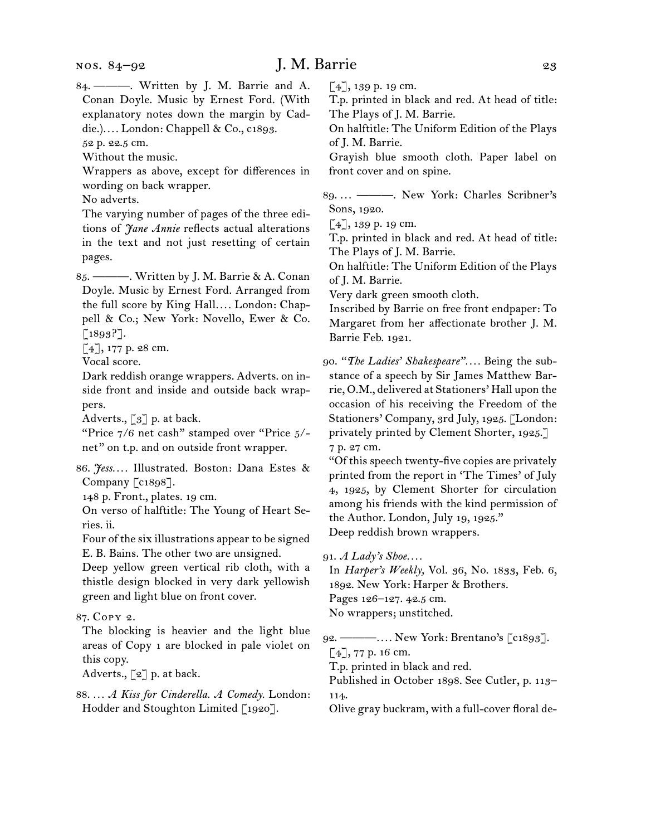84.  ———. Written by J. M. Barrie and A. Conan Doyle. Music by Ernest Ford. (With explanatory notes down the margin by Caddie.)*. . . .* London: Chappell & Co., c1893.

52 p. 22.5 cm.

Without the music.

Wrappers as above, except for differences in wording on back wrapper.

No adverts.

The varying number of pages of the three editions of *Jane Annie* reflects actual alterations in the text and not just resetting of certain pages.

85.  ———. Written by J. M. Barrie & A. Conan Doyle. Music by Ernest Ford. Arranged from the full score by King Hall*. . . .* London: Chappell & Co.; New York: Novello, Ewer & Co. [1893?].

[4], 177 p. 28 cm.

Vocal score.

Dark reddish orange wrappers. Adverts. on inside front and inside and outside back wrappers.

Adverts.,  $\lceil 3 \rceil$  p. at back.

"Price 7/6 net cash" stamped over "Price 5/ net" on t.p. and on outside front wrapper.

86.  *Jess. . . .* Illustrated. Boston: Dana Estes & Company [c1898].

148 p. Front., plates. 19 cm.

On verso of halftitle: The Young of Heart Series. ii.

Four of the six illustrations appear to be signed E. B. Bains. The other two are unsigned.

Deep yellow green vertical rib cloth, with a thistle design blocked in very dark yellowish green and light blue on front cover.

87.  Copy 2.

The blocking is heavier and the light blue areas of Copy 1 are blocked in pale violet on this copy.

Adverts.,  $\lbrack 2 \rbrack$  p. at back.

88.  *. . . A Kiss for Cinderella. A Comedy.* London: Hodder and Stoughton Limited [1920].

[4], 139 p. 19 cm.

T.p. printed in black and red. At head of title: The Plays of J. M. Barrie.

On halftitle: The Uniform Edition of the Plays of J. M. Barrie.

Grayish blue smooth cloth. Paper label on front cover and on spine.

89.  *. . .* ———. New York: Charles Scribner's Sons, 1920.

 $[4]$ , 139 p. 19 cm.

T.p. printed in black and red. At head of title: The Plays of J. M. Barrie.

On halftitle: The Uniform Edition of the Plays of J. M. Barrie.

Very dark green smooth cloth.

Inscribed by Barrie on free front endpaper: To Margaret from her affectionate brother J. M. Barrie Feb. 1921.

90.  *"The Ladies' Shakespeare". . . .* Being the substance of a speech by Sir James Matthew Barrie, O.M., delivered at Stationers' Hall upon the occasion of his receiving the Freedom of the Stationers' Company, 3rd July, 1925. [London: privately printed by Clement Shorter, 1925.] 7 p. 27 cm.

"Of thisspeech twenty-five copies are privately printed from the report in 'The Times' of July 4, 1925, by Clement Shorter for circulation among his friends with the kind permission of the Author. London, July 19, 1925." Deep reddish brown wrappers.

91.  *A Lady's Shoe. . . .*

In *Harper's Weekly,* Vol. 36, No. 1833, Feb. 6, 1892. New York: Harper & Brothers. Pages 126–127. 42.5 cm. No wrappers; unstitched.

92.  ———*. . . .* New York: Brentano's [c1893].  $\lceil 4 \rceil$ , 77 p. 16 cm.

T.p. printed in black and red.

Published in October 1898. See Cutler, p. 113– 114.

Olive gray buckram, with a full-cover floral de-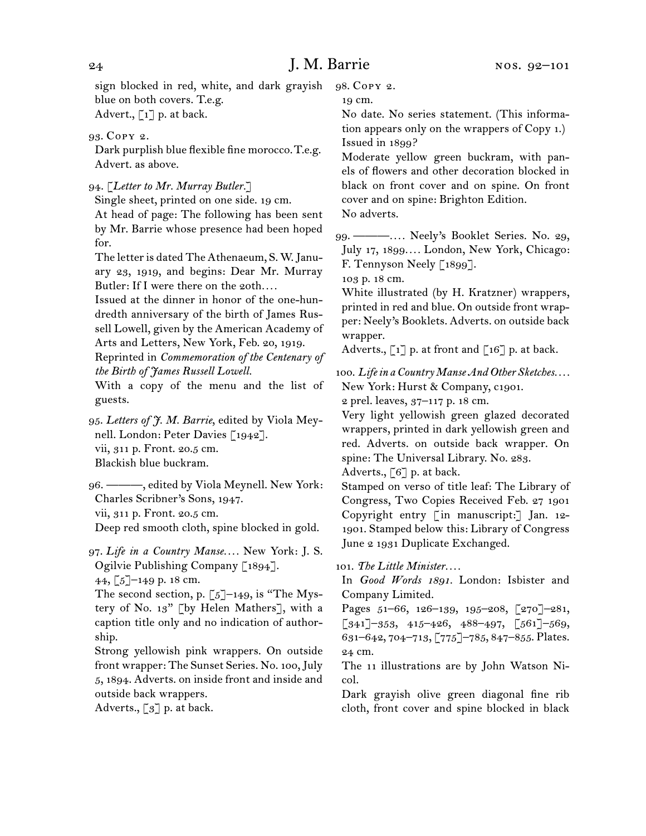sign blocked in red, white, and dark grayish blue on both covers. T.e.g. Advert.,  $\lceil 1 \rceil$  p. at back.

93.  Copy 2.

Dark purplish blue flexible fine morocco.T.e.g. Advert. as above.

94.  [*Letter to Mr. Murray Butler.*]

Single sheet, printed on one side. 19 cm. At head of page: The following has been sent by Mr. Barrie whose presence had been hoped for.

The letteris dated The Athenaeum, S. W.January 23, 1919, and begins: Dear Mr. Murray Butler: If I were there on the 20th....

Issued at the dinner in honor of the one-hundredth anniversary of the birth of James Russell Lowell, given by the American Academy of Arts and Letters, New York, Feb. 20, 1919.

Reprinted in *Commemoration of the Centenary of the Birth of James Russell Lowell.*

With a copy of the menu and the list of guests.

95.  *Letters of J. M. Barrie*, edited by Viola Meynell. London: Peter Davies [1942]. vii, 311 p. Front. 20.5 cm. Blackish blue buckram.

96.  ———, edited by Viola Meynell. New York: Charles Scribner's Sons, 1947. vii, 311 p. Front. 20.5 cm. Deep red smooth cloth, spine blocked in gold.

97.  *Life in a Country Manse. . . .* New York: J. S. Ogilvie Publishing Company [1894]. 44, [5]–149 p. 18 cm.

The second section, p.  $\lceil 5 \rceil$ –149, is "The Mystery of No. 13" [by Helen Mathers], with a caption title only and no indication of authorship.

Strong yellowish pink wrappers. On outside front wrapper: The Sunset Series. No. 100,July 5, 1894. Adverts. on inside front and inside and outside back wrappers.

Adverts., [3] p. at back.

98.  Copy 2.

19 cm.

No date. No series statement. (This information appears only on the wrappers of Copy 1.) Issued in 1899?

Moderate yellow green buckram, with panels of flowers and other decoration blocked in black on front cover and on spine. On front cover and on spine: Brighton Edition. No adverts.

99.  ———*. . . .* Neely's Booklet Series. No. 29, July 17, 1899*. . . .* London, New York, Chicago: F. Tennyson Neely [1899].

103 p. 18 cm.

White illustrated (by H. Kratzner) wrappers, printed in red and blue. On outside front wrapper: Neely's Booklets. Adverts. on outside back wrapper.

Adverts.,  $\lceil 1 \rceil$  p. at front and  $\lceil 16 \rceil$  p. at back.

100.  *Life in a Country Manse And Other Sketches. . . .* New York: Hurst & Company, c1901.

2 prel. leaves, 37–117 p. 18 cm.

Very light yellowish green glazed decorated wrappers, printed in dark yellowish green and red. Adverts. on outside back wrapper. On spine: The Universal Library. No. 283.

Adverts., [6] p. at back.

Stamped on verso of title leaf: The Library of Congress, Two Copies Received Feb. 27 1901 Copyright entry [ in manuscript:] Jan. 12-1901. Stamped below this: Library of Congress June 2 1931 Duplicate Exchanged.

101.  *The Little Minister. . . .*

In *Good Words 1891.* London: Isbister and Company Limited.

Pages 51–66, 126–139, 195–208, [270]–281,  $\left[341\right]$ –353, 415–426, 488–497,  $\left[561\right]$ –569, 631–642, 704–713, [775]–785, 847–855. Plates. 24 cm.

The 11 illustrations are by John Watson Nicol.

Dark grayish olive green diagonal fine rib cloth, front cover and spine blocked in black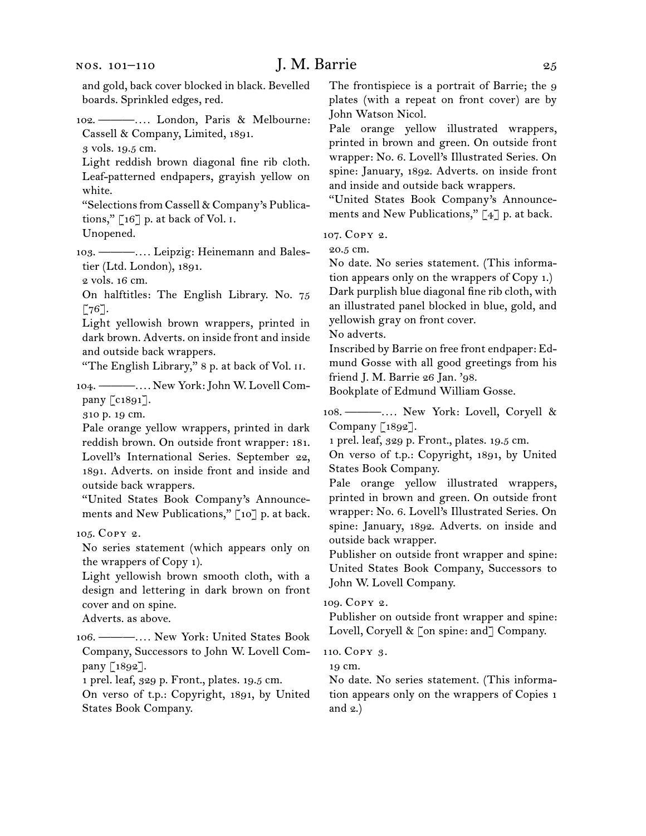102.  ———*. . . .* London, Paris & Melbourne: Cassell & Company, Limited, 1891.

3 vols. 19.5 cm.

Light reddish brown diagonal fine rib cloth. Leaf-patterned endpapers, grayish yellow on white.

"Selections from Cassell & Company's Publications," [16] p. at back of Vol. i.

Unopened.

103.  ———*. . . .* Leipzig: Heinemann and Balestier (Ltd. London), 1891.

2 vols. 16 cm.

On halftitles: The English Library. No. 75  $\lceil 76 \rceil$ .

Light yellowish brown wrappers, printed in dark brown. Adverts. on inside front and inside and outside back wrappers.

"The English Library," 8 p. at back of Vol. ii.

104.  ———*. . . .* New York:John W. Lovell Company [c1891].

310 p. 19 cm.

Pale orange yellow wrappers, printed in dark reddish brown. On outside front wrapper: 181. Lovell's International Series. September 22, 1891. Adverts. on inside front and inside and outside back wrappers.

"United States Book Company's Announcements and New Publications," [10] p. at back.

105.  Copy 2.

No series statement (which appears only on the wrappers of Copy 1).

Light yellowish brown smooth cloth, with a design and lettering in dark brown on front cover and on spine.

Adverts. as above.

106.  ———*. . . .* New York: United States Book Company, Successors to John W. Lovell Company [1892].

1 prel. leaf, 329 p. Front., plates. 19.5 cm.

On verso of t.p.: Copyright, 1891, by United States Book Company.

The frontispiece is a portrait of Barrie; the 9 plates (with a repeat on front cover) are by John Watson Nicol.

Pale orange yellow illustrated wrappers, printed in brown and green. On outside front wrapper: No. 6. Lovell's Illustrated Series. On spine: January, 1892. Adverts. on inside front and inside and outside back wrappers.

"United States Book Company's Announcements and New Publications," [4] p. at back.

107.  Copy 2.

20.5 cm.

No date. No series statement. (This information appears only on the wrappers of Copy 1.) Dark purplish blue diagonal fine rib cloth, with an illustrated panel blocked in blue, gold, and yellowish gray on front cover.

No adverts.

Inscribed by Barrie on free front endpaper: Edmund Gosse with all good greetings from his friend J. M. Barrie 26 Jan. '98.

Bookplate of Edmund William Gosse.

108.  ———*. . . .* New York: Lovell, Coryell & Company [1892].

1 prel. leaf, 329 p. Front., plates. 19.5 cm.

On verso of t.p.: Copyright, 1891, by United States Book Company.

Pale orange yellow illustrated wrappers, printed in brown and green. On outside front wrapper: No. 6. Lovell's Illustrated Series. On spine: January, 1892. Adverts. on inside and outside back wrapper.

Publisher on outside front wrapper and spine: United States Book Company, Successors to John W. Lovell Company.

109.  Copy 2.

Publisher on outside front wrapper and spine: Lovell, Coryell & [on spine: and] Company.

110.  Copy 3.

19 cm.

No date. No series statement. (This information appears only on the wrappers of Copies 1 and 2.)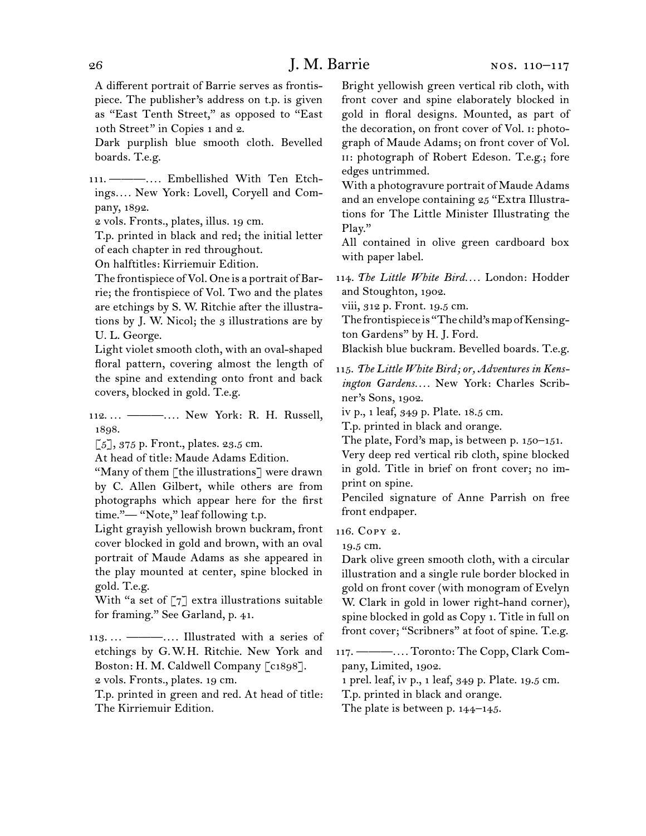A different portrait of Barrie serves as frontispiece. The publisher's address on t.p. is given as "East Tenth Street," as opposed to "East 10th Street" in Copies 1 and 2.

Dark purplish blue smooth cloth. Bevelled boards. T.e.g.

111.  ———*. . . .* Embellished With Ten Etchings*. . . .* New York: Lovell, Coryell and Company, 1892.

2 vols. Fronts., plates, illus. 19 cm.

T.p. printed in black and red; the initial letter of each chapter in red throughout.

On halftitles: Kirriemuir Edition.

The frontispiece of Vol. One is a portrait of Barrie; the frontispiece of Vol. Two and the plates are etchings by S. W. Ritchie after the illustrations by J. W. Nicol; the 3 illustrations are by U. L. George.

Light violet smooth cloth, with an oval-shaped floral pattern, covering almost the length of the spine and extending onto front and back covers, blocked in gold. T.e.g.

112.  *. . .* ———*. . . .* New York: R. H. Russell, 1898.

[5], 375 p. Front., plates. 23.5 cm.

At head of title: Maude Adams Edition.

"Many of them [the illustrations] were drawn by C. Allen Gilbert, while others are from photographs which appear here for the first time."— "Note," leaf following t.p.

Light grayish yellowish brown buckram, front cover blocked in gold and brown, with an oval portrait of Maude Adams as she appeared in the play mounted at center, spine blocked in gold. T.e.g.

With "a set of  $\lceil 7 \rceil$  extra illustrations suitable for framing." See Garland, p. 41.

113.  *. . .* ———*. . . .* Illustrated with a series of etchings by G. W. H. Ritchie. New York and Boston: H. M. Caldwell Company [c1898]. 2 vols. Fronts., plates. 19 cm.

T.p. printed in green and red. At head of title: The Kirriemuir Edition.

Bright yellowish green vertical rib cloth, with front cover and spine elaborately blocked in gold in floral designs. Mounted, as part of the decoration, on front cover of Vol. i: photograph of Maude Adams; on front cover of Vol. ii: photograph of Robert Edeson. T.e.g.; fore edges untrimmed.

With a photogravure portrait of Maude Adams and an envelope containing 25 "Extra Illustrations for The Little Minister Illustrating the Play."

All contained in olive green cardboard box with paper label.

114.  *The Little White Bird. . . .* London: Hodder and Stoughton, 1902.

viii, 312 p. Front. 19.5 cm.

The frontispiece is "The child's map of Kensington Gardens" by H. J. Ford.

Blackish blue buckram. Bevelled boards. T.e.g.

115.  *The Little White Bird; or, Adventures in Kensington Gardens. . . .* New York: Charles Scribner's Sons, 1902.

iv p., 1 leaf, 349 p. Plate. 18.5 cm.

T.p. printed in black and orange.

The plate, Ford's map, is between p. 150–151.

Very deep red vertical rib cloth, spine blocked in gold. Title in brief on front cover; no imprint on spine.

Penciled signature of Anne Parrish on free front endpaper.

116.  Copy 2.

19.5 cm.

Dark olive green smooth cloth, with a circular illustration and a single rule border blocked in gold on front cover (with monogram of Evelyn W. Clark in gold in lower right-hand corner), spine blocked in gold as Copy 1. Title in full on front cover; "Scribners" at foot of spine. T.e.g.

117.  ———*. . . .* Toronto: The Copp, Clark Company, Limited, 1902.

1 prel. leaf, iv p., 1 leaf, 349 p. Plate. 19.5 cm.

T.p. printed in black and orange.

The plate is between p. 144–145.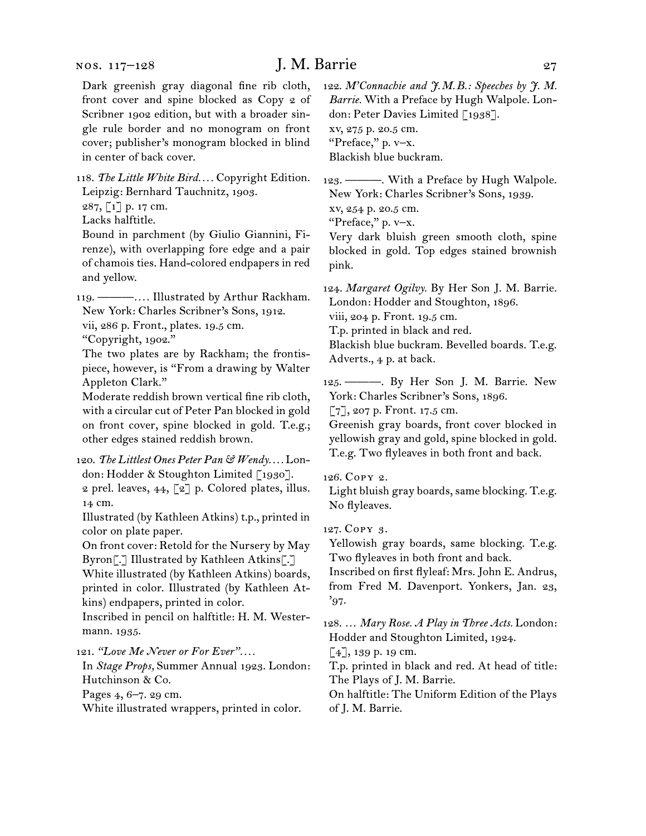#### nos. 117–128

# J. M. Barrie 27

Dark greenish gray diagonal fine rib cloth, front cover and spine blocked as Copy 2 of Scribner 1902 edition, but with a broader single rule border and no monogram on front cover; publisher's monogram blocked in blind in center of back cover.

118.  *The Little White Bird. . . .* Copyright Edition. Leipzig: Bernhard Tauchnitz, 1903.

287, [1] p. 17 cm.

Lacks halftitle.

Bound in parchment (by Giulio Giannini, Firenze), with overlapping fore edge and a pair of chamois ties. Hand-colored endpapers in red and yellow.

119.  ———*. . . .* Illustrated by Arthur Rackham. New York: Charles Scribner's Sons, 1912. vii, 286 p. Front., plates. 19.5 cm.

"Copyright, 1902."

The two plates are by Rackham; the frontispiece, however, is "From a drawing by Walter Appleton Clark."

Moderate reddish brown vertical fine rib cloth, with a circular cut of Peter Pan blocked in gold on front cover, spine blocked in gold. T.e.g.; other edges stained reddish brown.

### 120.  *The Littlest Ones Peter Pan & Wendy. . . .* London: Hodder & Stoughton Limited [1930].

2 prel. leaves, 44, [2] p. Colored plates, illus. 14 cm.

Illustrated (by Kathleen Atkins) t.p., printed in color on plate paper.

On front cover: Retold for the Nursery by May Byron[.] Illustrated by Kathleen Atkins[.]

White illustrated (by Kathleen Atkins) boards, printed in color. Illustrated (by Kathleen Atkins) endpapers, printed in color.

Inscribed in pencil on halftitle: H. M. Westermann. 1935.

121.  *"Love Me Never or For Ever". . . .*

In *Stage Props,* Summer Annual 1923. London: Hutchinson & Co.

Pages 4, 6–7. 29 cm.

White illustrated wrappers, printed in color.

122.  *M'Connachie and J.M.B.: Speeches by J. M. Barrie.* With a Preface by Hugh Walpole. London: Peter Davies Limited [1938]. xv, 275 p. 20.5 cm. "Preface," p. v–x.

Blackish blue buckram.

123.  ———. With a Preface by Hugh Walpole. New York: Charles Scribner's Sons, 1939.

xv, 254 p. 20.5 cm.

"Preface," p. v–x.

Very dark bluish green smooth cloth, spine blocked in gold. Top edges stained brownish pink.

124.  *Margaret Ogilvy.* By Her Son J. M. Barrie. London: Hodder and Stoughton, 1896. viii, 204 p. Front. 19.5 cm.

T.p. printed in black and red.

Blackish blue buckram. Bevelled boards. T.e.g. Adverts., 4 p. at back.

125.  ———. By Her Son J. M. Barrie. New York: Charles Scribner's Sons, 1896.

[7], 207 p. Front. 17.5 cm.

Greenish gray boards, front cover blocked in yellowish gray and gold, spine blocked in gold. T.e.g. Two flyleaves in both front and back.

#### 126.  Copy 2.

Light bluish gray boards, same blocking. T.e.g. No flyleaves.

127.  Copy 3.

Yellowish gray boards, same blocking. T.e.g. Two flyleaves in both front and back.

Inscribed on first flyleaf: Mrs. John E. Andrus, from Fred M. Davenport. Yonkers, Jan. 23, '97.

128.  … *Mary Rose. A Play in Three Acts.* London: Hodder and Stoughton Limited, 1924.

[4], 139 p. 19 cm.

T.p. printed in black and red. At head of title: The Plays of J. M. Barrie.

On halftitle: The Uniform Edition of the Plays of J. M. Barrie.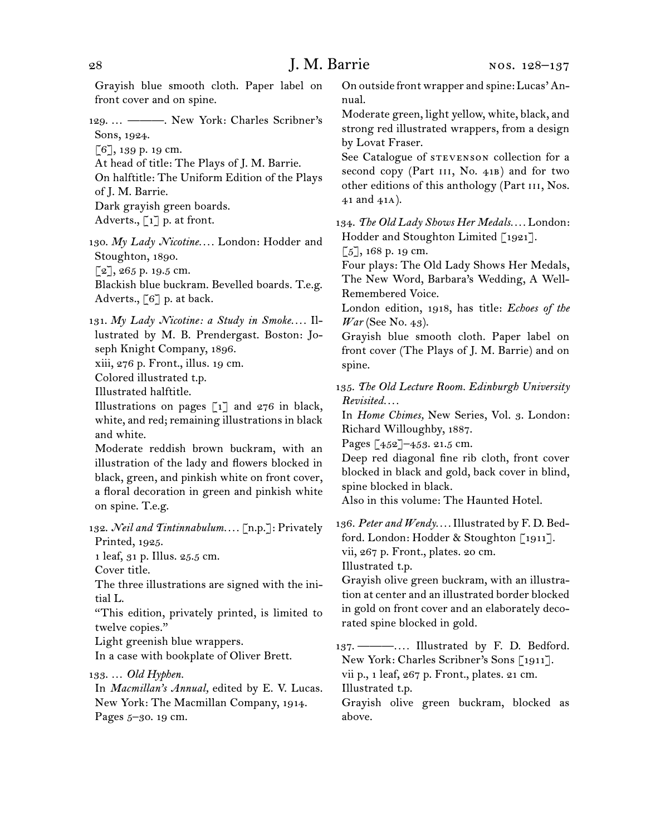Grayish blue smooth cloth. Paper label on front cover and on spine.

129.  … ———. New York: Charles Scribner's Sons, 1924.

[6], 139 p. 19 cm.

At head of title: The Plays of J. M. Barrie.

On halftitle: The Uniform Edition of the Plays of J. M. Barrie.

Dark grayish green boards.

Adverts., [1] p. at front.

130.  *My Lady Nicotine. . . .* London: Hodder and Stoughton, 1890.  $\lceil 2 \rceil$ , 265 p. 19.5 cm.

Blackish blue buckram. Bevelled boards. T.e.g. Adverts., [6] p. at back.

131.  *My Lady Nicotine: a Study in Smoke. . . .* Illustrated by M. B. Prendergast. Boston: Joseph Knight Company, 1896.

xiii, 276 p. Front., illus. 19 cm.

Colored illustrated t.p.

Illustrated halftitle.

Illustrations on pages  $\lceil 1 \rceil$  and  $276$  in black, white, and red; remaining illustrations in black and white.

Moderate reddish brown buckram, with an illustration of the lady and flowers blocked in black, green, and pinkish white on front cover, a floral decoration in green and pinkish white on spine. T.e.g.

132.  *Neil and Tintinnabulum. . . .* [n.p.]: Privately Printed, 1925.

1 leaf, 31 p. Illus. 25.5 cm.

Cover title.

The three illustrations are signed with the initial L.

"This edition, privately printed, is limited to twelve copies."

Light greenish blue wrappers.

In a case with bookplate of Oliver Brett.

133.  … *Old Hyphen.*

In *Macmillan's Annual,* edited by E. V. Lucas. New York: The Macmillan Company, 1914. Pages 5-30. 19 cm.

On outside front wrapper and spine: Lucas'Annual.

Moderate green, light yellow, white, black, and strong red illustrated wrappers, from a design by Lovat Fraser.

See Catalogue of STEVENSON collection for a second copy (Part III, No. 41B) and for two other editions of this anthology (Part III, Nos. 41 and 41a).

134.  *The Old Lady Shows Her Medals. . . .* London: Hodder and Stoughton Limited [1921].

 $[5]$ , 168 p. 19 cm.

Four plays: The Old Lady Shows Her Medals, The New Word, Barbara's Wedding, A Well-Remembered Voice.

London edition, 1918, has title: *Echoes of the War* (See No. 43).

Grayish blue smooth cloth. Paper label on front cover (The Plays of J. M. Barrie) and on spine.

135.  *The Old Lecture Room. Edinburgh University Revisited. . . .*

In *Home Chimes,* New Series, Vol. 3. London: Richard Willoughby, 1887.

Pages [452]–453. 21.5 cm.

Deep red diagonal fine rib cloth, front cover blocked in black and gold, back cover in blind, spine blocked in black.

Also in this volume: The Haunted Hotel.

136.  *Peter and Wendy. . . .* Illustrated by F. D. Bedford. London: Hodder & Stoughton [1911]. vii, 267 p. Front., plates. 20 cm. Illustrated t.p.

Grayish olive green buckram, with an illustration at center and an illustrated border blocked in gold on front cover and an elaborately decorated spine blocked in gold.

137.  ———*. . . .* Illustrated by F. D. Bedford. New York: Charles Scribner's Sons [1911]. vii p., 1 leaf, 267 p. Front., plates. 21 cm. Illustrated t.p.

Grayish olive green buckram, blocked as above.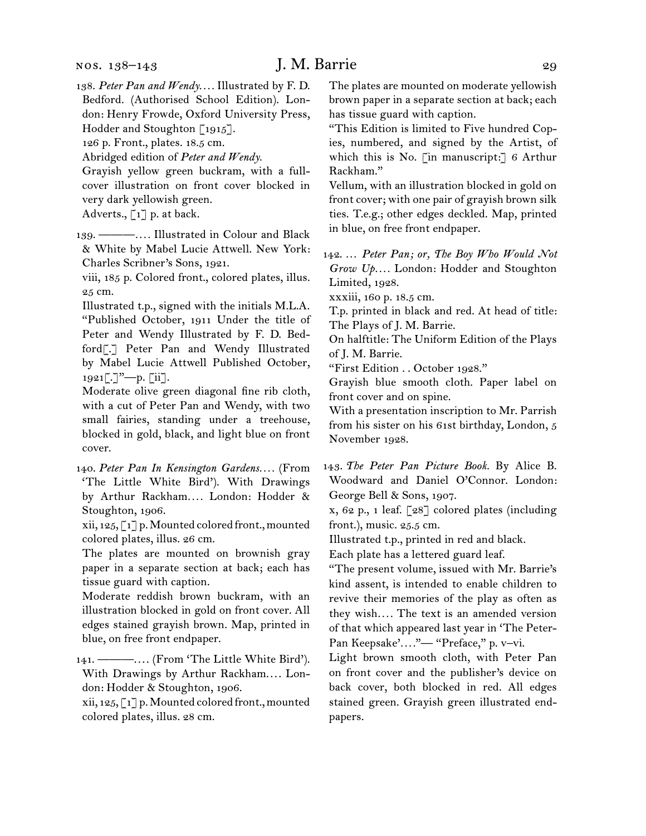138.  *Peter Pan and Wendy. . . .* Illustrated by F. D. Bedford. (Authorised School Edition). London: Henry Frowde, Oxford University Press, Hodder and Stoughton [1915].

126 p. Front., plates. 18.5 cm.

Abridged edition of *Peter and Wendy.*

Grayish yellow green buckram, with a fullcover illustration on front cover blocked in very dark yellowish green.

Adverts., [1] p. at back.

139.  ———*. . . .* Illustrated in Colour and Black & White by Mabel Lucie Attwell. New York: Charles Scribner's Sons, 1921.

viii, 185 p. Colored front., colored plates, illus. 25 cm.

Illustrated t.p., signed with the initials M.L.A. "Published October, 1911 Under the title of Peter and Wendy Illustrated by F. D. Bedford[.] Peter Pan and Wendy Illustrated by Mabel Lucie Attwell Published October, 1921[.]"—p. [ii].

Moderate olive green diagonal fine rib cloth, with a cut of Peter Pan and Wendy, with two small fairies, standing under a treehouse, blocked in gold, black, and light blue on front cover.

140.  *Peter Pan In Kensington Gardens. . . .* (From 'The Little White Bird'). With Drawings by Arthur Rackham*. . . .* London: Hodder & Stoughton, 1906.

xii, 125, [1] p.Mounted colored front.,mounted colored plates, illus. 26 cm.

The plates are mounted on brownish gray paper in a separate section at back; each has tissue guard with caption.

Moderate reddish brown buckram, with an illustration blocked in gold on front cover. All edges stained grayish brown. Map, printed in blue, on free front endpaper.

141.  ———. . . . (From 'The Little White Bird'). With Drawings by Arthur Rackham.... London: Hodder & Stoughton, 1906.

xii, 125, [1] p.Mounted colored front.,mounted colored plates, illus. 28 cm.

The plates are mounted on moderate yellowish brown paper in a separate section at back; each has tissue guard with caption.

"This Edition is limited to Five hundred Copies, numbered, and signed by the Artist, of which this is No. [in manuscript:] 6 Arthur Rackham."

Vellum, with an illustration blocked in gold on front cover; with one pair of grayish brown silk ties. T.e.g.; other edges deckled. Map, printed in blue, on free front endpaper.

142.  … *Peter Pan; or, The Boy Who Would Not Grow Up. . . .* London: Hodder and Stoughton Limited, 1928.

xxxiii, 160 p. 18.5 cm.

T.p. printed in black and red. At head of title: The Plays of J. M. Barrie.

On halftitle: The Uniform Edition of the Plays of J. M. Barrie.

"First Edition . . October 1928."

Grayish blue smooth cloth. Paper label on front cover and on spine.

With a presentation inscription to Mr. Parrish from his sister on his 61st birthday, London, 5 November 1928.

143.  *The Peter Pan Picture Book.* By Alice B. Woodward and Daniel O'Connor. London: George Bell & Sons, 1907.

x, 62 p., 1 leaf. [28] colored plates (including front.), music. 25.5 cm.

Illustrated t.p., printed in red and black.

Each plate has a lettered guard leaf.

"The present volume, issued with Mr. Barrie's kind assent, is intended to enable children to revive their memories of the play as often as they wish*. . . .* The text is an amended version of that which appeared last year in 'The Peter-Pan Keepsake'...."-"Preface," p. v-vi.

Light brown smooth cloth, with Peter Pan on front cover and the publisher's device on back cover, both blocked in red. All edges stained green. Grayish green illustrated endpapers.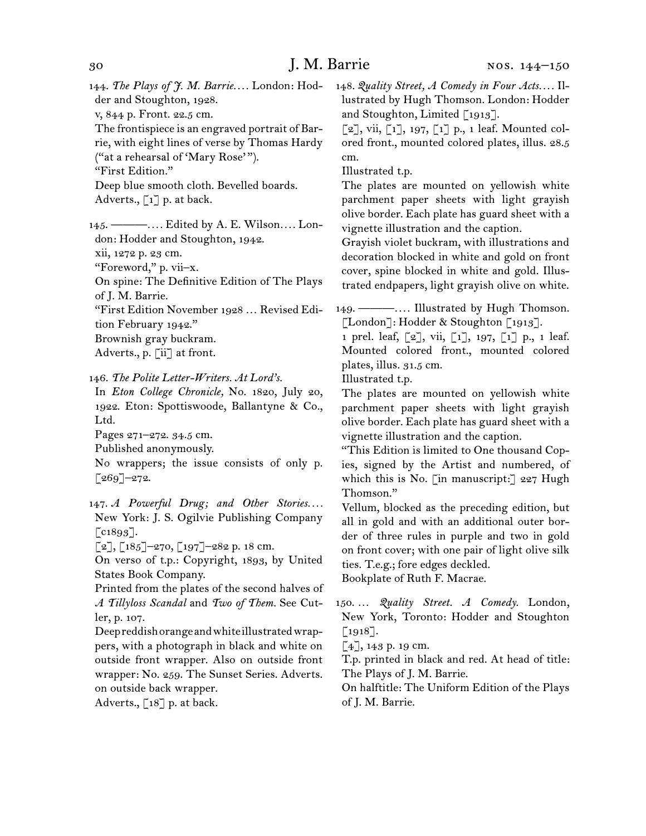144.  *The Plays of J. M. Barrie. . . .* London: Hodder and Stoughton, 1928. v, 844 p. Front. 22.5 cm. The frontispiece is an engraved portrait of Bar-

rie, with eight lines of verse by Thomas Hardy ("at a rehearsal of 'Mary Rose'").

"First Edition."

Deep blue smooth cloth. Bevelled boards. Adverts.,  $\lceil 1 \rceil$  p. at back.

145.  ———*. . . .* Edited by A. E. Wilson*. . . .* London: Hodder and Stoughton, 1942.

xii, 1272 p. 23 cm.

"Foreword," p. vii–x.

On spine: The Definitive Edition of The Plays of J. M. Barrie.

"First Edition November 1928 … Revised Edition February 1942."

Brownish gray buckram. Adverts., p. [ii] at front.

### 146.  *The Polite Letter-Writers. At Lord's.*

In *Eton College Chronicle,* No. 1820, July 20, 1922. Eton: Spottiswoode, Ballantyne & Co., Ltd.

Pages 271–272. 34.5 cm.

Published anonymously.

No wrappers; the issue consists of only p.  $[269]$ <sup>-272.</sup>

147.  *A Powerful Drug; and Other Stories. . . .* New York: J. S. Ogilvie Publishing Company  $\lceil$  c1893].

 $[2]$ ,  $[185]$ -270,  $[197]$ -282 p. 18 cm.

On verso of t.p.: Copyright, 1893, by United States Book Company.

Printed from the plates of the second halves of *A Tillyloss Scandal* and *Two of Them.* See Cutler, p. 107.

Deepreddishorangeandwhiteillustratedwrappers, with a photograph in black and white on outside front wrapper. Also on outside front wrapper: No. 259. The Sunset Series. Adverts. on outside back wrapper.

Adverts.,  $\lceil 18 \rceil$  p. at back.

148.  *Quality Street, A Comedy in Four Acts. . . .* Illustrated by Hugh Thomson. London: Hodder and Stoughton, Limited [1913].

 $\lceil 2 \rceil$ , vii,  $\lceil 1 \rceil$ , 197,  $\lceil 1 \rceil$  p., 1 leaf. Mounted colored front., mounted colored plates, illus. 28.5 cm.

Illustrated t.p.

The plates are mounted on yellowish white parchment paper sheets with light grayish olive border. Each plate has guard sheet with a vignette illustration and the caption.

Grayish violet buckram, with illustrations and decoration blocked in white and gold on front cover, spine blocked in white and gold. Illustrated endpapers, light grayish olive on white.

149.  ———*. . . .* Illustrated by Hugh Thomson. [London]: Hodder & Stoughton [1913].

1 prel. leaf, [2], vii, [1], 197, [1] p., 1 leaf. Mounted colored front., mounted colored plates, illus. 31.5 cm.

Illustrated t.p.

The plates are mounted on yellowish white parchment paper sheets with light grayish olive border. Each plate has guard sheet with a vignette illustration and the caption.

"This Edition is limited to One thousand Copies, signed by the Artist and numbered, of which this is No. [in manuscript:] 227 Hugh Thomson."

Vellum, blocked as the preceding edition, but all in gold and with an additional outer border of three rules in purple and two in gold on front cover; with one pair of light olive silk ties. T.e.g.; fore edges deckled.

Bookplate of Ruth F. Macrae.

150.  … *Quality Street. A Comedy.* London, New York, Toronto: Hodder and Stoughton [1918].

 $[4]$ , 143 p. 19 cm.

T.p. printed in black and red. At head of title: The Plays of J. M. Barrie.

On halftitle: The Uniform Edition of the Plays of J. M. Barrie.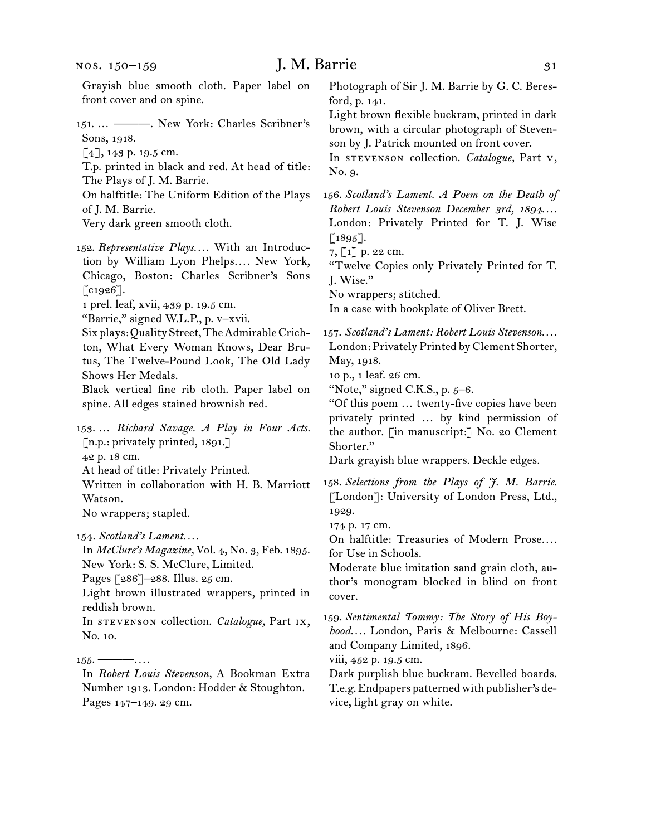nos. 150–159

| Grayish blue smooth cloth. Paper label on<br>front cover and on spine.                                                                                             | Photograph of Sir J. M. Barrie by G. C. Beres-<br>ford, p. 141.                                                                                                                                     |
|--------------------------------------------------------------------------------------------------------------------------------------------------------------------|-----------------------------------------------------------------------------------------------------------------------------------------------------------------------------------------------------|
| 151 ————. New York: Charles Scribner's<br>Sons, 1918.<br>$[4]$ , 143 p. 19.5 cm.<br>T.p. printed in black and red. At head of title:<br>The Plays of J. M. Barrie. | Light brown flexible buckram, printed in dark<br>brown, with a circular photograph of Steven-<br>son by J. Patrick mounted on front cover.<br>In STEVENSON collection. Catalogue, Part v,<br>No. 9. |
| On halftitle: The Uniform Edition of the Plays                                                                                                                     | 156. Scotland's Lament. A Poem on the Death of                                                                                                                                                      |
| of J. M. Barrie.                                                                                                                                                   | Robert Louis Stevenson December 3rd, 1894                                                                                                                                                           |
| Very dark green smooth cloth.                                                                                                                                      | London: Privately Printed for T. J. Wise                                                                                                                                                            |
|                                                                                                                                                                    | $[1895].$                                                                                                                                                                                           |
| 152. Representative Plays With an Introduc-                                                                                                                        | 7, [1] p. 22 cm.                                                                                                                                                                                    |
| tion by William Lyon Phelps New York,                                                                                                                              | "Twelve Copies only Privately Printed for T.                                                                                                                                                        |
| Chicago, Boston: Charles Scribner's Sons                                                                                                                           | J. Wise."                                                                                                                                                                                           |
| $\lbrack \text{c1926}\rbrack.$                                                                                                                                     | No wrappers; stitched.                                                                                                                                                                              |
| 1 prel. leaf, xvii, 439 p. 19.5 cm.<br>"Barrie," signed W.L.P., p. v-xvii.                                                                                         | In a case with bookplate of Oliver Brett.                                                                                                                                                           |
| Six plays: Quality Street, The Admirable Crich-                                                                                                                    | 157. Scotland's Lament: Robert Louis Stevenson                                                                                                                                                      |
| ton, What Every Woman Knows, Dear Bru-                                                                                                                             | London: Privately Printed by Clement Shorter,                                                                                                                                                       |
| tus, The Twelve-Pound Look, The Old Lady                                                                                                                           | May, 1918.                                                                                                                                                                                          |
| Shows Her Medals.                                                                                                                                                  | 10 p., 1 leaf. 26 cm.                                                                                                                                                                               |
| Black vertical fine rib cloth. Paper label on                                                                                                                      | "Note," signed C.K.S., p. 5-6.                                                                                                                                                                      |
| spine. All edges stained brownish red.                                                                                                                             | "Of this poem  twenty-five copies have been                                                                                                                                                         |
|                                                                                                                                                                    | privately printed  by kind permission of                                                                                                                                                            |
| 153.  Richard Savage. A Play in Four Acts.                                                                                                                         | the author. [in manuscript:] No. 20 Clement                                                                                                                                                         |
| [n.p.: privately printed, 1891.]                                                                                                                                   | Shorter."                                                                                                                                                                                           |
| 42 p. 18 cm.                                                                                                                                                       | Dark grayish blue wrappers. Deckle edges.                                                                                                                                                           |
| At head of title: Privately Printed.                                                                                                                               |                                                                                                                                                                                                     |
| Written in collaboration with H. B. Marriott                                                                                                                       | 158. Selections from the Plays of J. M. Barrie.                                                                                                                                                     |
| Watson.                                                                                                                                                            | [London]: University of London Press, Ltd.,                                                                                                                                                         |
| No wrappers; stapled.                                                                                                                                              | 1929.<br>174 p. 17 cm.                                                                                                                                                                              |
| 154. Scotland's Lament                                                                                                                                             | On halftitle: Treasuries of Modern Prose                                                                                                                                                            |
| In McClure's Magazine, Vol. 4, No. 3, Feb. 1895.                                                                                                                   | for Use in Schools.                                                                                                                                                                                 |
| New York: S. S. McClure, Limited.                                                                                                                                  | Moderate blue imitation sand grain cloth, au-                                                                                                                                                       |
| Pages [286]-288. Illus. 25 cm.                                                                                                                                     | thor's monogram blocked in blind on front                                                                                                                                                           |
| Light brown illustrated wrappers, printed in                                                                                                                       | cover.                                                                                                                                                                                              |
| reddish brown.                                                                                                                                                     |                                                                                                                                                                                                     |
| In STEVENSON collection. Catalogue, Part IX,                                                                                                                       | 159. Sentimental Tommy: The Story of His Boy-                                                                                                                                                       |
| No. 10.                                                                                                                                                            | hood London, Paris & Melbourne: Cassell<br>and Company Limited, 1896.                                                                                                                               |
| $155.$ ————                                                                                                                                                        | viii, 452 p. 19.5 cm.                                                                                                                                                                               |
| In Robert Louis Stevenson, A Bookman Extra                                                                                                                         | Dark purplish blue buckram. Bevelled boards.                                                                                                                                                        |
|                                                                                                                                                                    |                                                                                                                                                                                                     |

Number 1913. London: Hodder & Stoughton. Pages 147–149. 29 cm.

Dark purplish blue buckram. Bevelled boards. T.e.g.Endpapers patterned with publisher's device, light gray on white.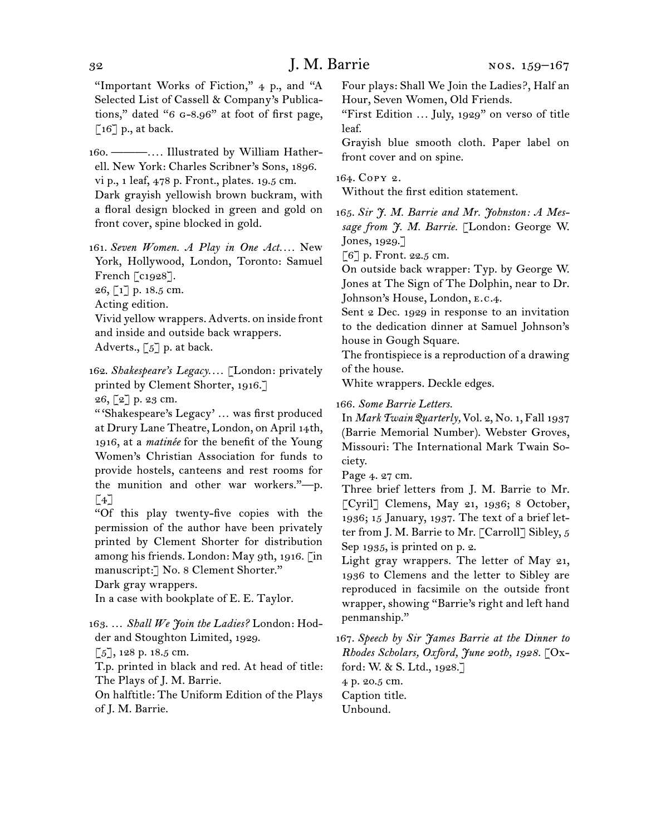"Important Works of Fiction," 4 p., and "A Selected List of Cassell & Company's Publications," dated "6 g-8.96" at foot of first page,  $\lceil 16 \rceil$  p., at back.

160.  ———*. . . .* Illustrated by William Hatherell. New York: Charles Scribner's Sons, 1896. vi p., 1 leaf, 478 p. Front., plates. 19.5 cm. Dark grayish yellowish brown buckram, with a floral design blocked in green and gold on front cover, spine blocked in gold.

161.  *Seven Women. A Play in One Act. . . .* New York, Hollywood, London, Toronto: Samuel French [c1928].

26, [1] p. 18.5 cm.

Acting edition.

Vivid yellow wrappers. Adverts. on inside front and inside and outside back wrappers. Adverts.,  $\lbrack 5 \rbrack$  p. at back.

162.  *Shakespeare's Legacy. . . .* [London: privately printed by Clement Shorter, 1916.]

 $26, 27$  p. 23 cm.

" 'Shakespeare's Legacy' … was first produced at Drury Lane Theatre, London, on April 14th, 1916, at a *matinée* for the benefit of the Young Women's Christian Association for funds to provide hostels, canteens and rest rooms for the munition and other war workers."—p.  $[4]$ 

"Of this play twenty-five copies with the permission of the author have been privately printed by Clement Shorter for distribution among his friends. London: May 9th, 1916. [in manuscript:] No. 8 Clement Shorter."

```
Dark gray wrappers.
```
In a case with bookplate of E. E. Taylor.

163.  … *Shall We Join the Ladies?* London: Hodder and Stoughton Limited, 1929.

 $\lceil 5 \rceil$ , 128 p. 18.5 cm.

T.p. printed in black and red. At head of title: The Plays of J. M. Barrie.

On halftitle: The Uniform Edition of the Plays of J. M. Barrie.

Four plays: Shall We Join the Ladies?, Half an Hour, Seven Women, Old Friends.

"First Edition *. . .* July, 1929" on verso of title leaf.

Grayish blue smooth cloth. Paper label on front cover and on spine.

#### 164.  Copy 2.

Without the first edition statement.

165.  *Sir J. M. Barrie and Mr. Johnston: A Message from J. M. Barrie.* [London: George W. Jones, 1929.]

[6] p. Front. 22.5 cm.

On outside back wrapper: Typ. by George W. Jones at The Sign of The Dolphin, near to Dr. Johnson's House, London, e.c.4.

Sent 2 Dec. 1929 in response to an invitation to the dedication dinner at Samuel Johnson's house in Gough Square.

The frontispiece is a reproduction of a drawing of the house.

White wrappers. Deckle edges.

166.  *Some Barrie Letters.*

In *Mark Twain Quarterly,* Vol. 2, No. 1, Fall 1937 (Barrie Memorial Number). Webster Groves, Missouri: The International Mark Twain Society.

Page 4. 27 cm.

Three brief letters from J. M. Barrie to Mr. [Cyril] Clemens, May 21, 1936; 8 October, 1936; 15 January, 1937. The text of a brief letter from J. M. Barrie to Mr. [Carroll] Sibley, 5 Sep 1935, is printed on p. 2.

Light gray wrappers. The letter of May 21, 1936 to Clemens and the letter to Sibley are reproduced in facsimile on the outside front wrapper, showing "Barrie's right and left hand penmanship."

167.  *Speech by Sir James Barrie at the Dinner to Rhodes Scholars, Oxford, June 20th, 1928.* [Oxford: W. & S. Ltd., 1928.]

4 p. 20.5 cm. Caption title. Unbound.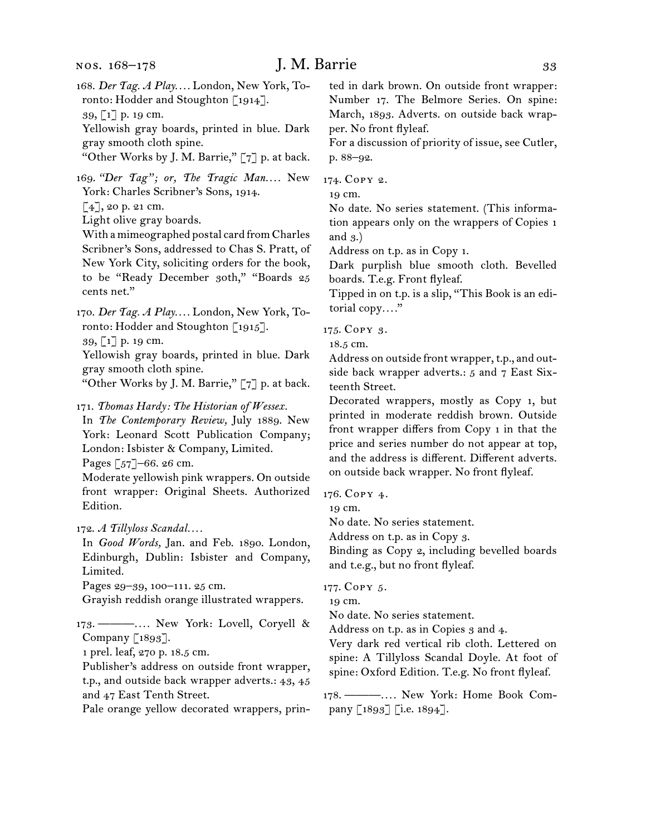168.  *Der Tag. A Play. . . .* London, New York, Toronto: Hodder and Stoughton [1914]. 39, [1] p. 19 cm.

Yellowish gray boards, printed in blue. Dark gray smooth cloth spine.

"Other Works by J. M. Barrie," [7] p. at back.

169. *"Der Tag"; or, The Tragic Man. . . .* New York: Charles Scribner's Sons, 1914.

 $[4]$ , 20 p. 21 cm.

Light olive gray boards.

With amimeographed postal card fromCharles Scribner's Sons, addressed to Chas S. Pratt, of New York City, soliciting orders for the book, to be "Ready December 30th," "Boards 25 cents net."

170.  *Der Tag. A Play. . . .* London, New York, Toronto: Hodder and Stoughton [1915].

39, [1] p. 19 cm.

Yellowish gray boards, printed in blue. Dark gray smooth cloth spine.

"Other Works by J. M. Barrie," [7] p. at back.

171.  *Thomas Hardy: The Historian of Wessex.*

In *The Contemporary Review,* July 1889. New York: Leonard Scott Publication Company; London: Isbister & Company, Limited.

Pages [57]–66. 26 cm.

Moderate yellowish pink wrappers. On outside front wrapper: Original Sheets. Authorized Edition.

172.  *A Tillyloss Scandal. . . .*

In *Good Words,* Jan. and Feb. 1890. London, Edinburgh, Dublin: Isbister and Company, Limited.

Pages 29–39, 100–111. 25 cm.

Grayish reddish orange illustrated wrappers.

173.  ———*. . . .* New York: Lovell, Coryell & Company [1893].

1 prel. leaf, 270 p. 18.5 cm.

Publisher's address on outside front wrapper, t.p., and outside back wrapper adverts.: 43, 45 and 47 East Tenth Street.

Pale orange yellow decorated wrappers, prin-

ted in dark brown. On outside front wrapper: Number 17. The Belmore Series. On spine: March, 1893. Adverts. on outside back wrapper. No front flyleaf.

For a discussion of priority of issue, see Cutler, p. 88–92.

174.  Copy 2.

19 cm.

No date. No series statement. (This information appears only on the wrappers of Copies 1 and 3.)

Address on t.p. as in Copy 1.

Dark purplish blue smooth cloth. Bevelled boards. T.e.g. Front flyleaf.

Tipped in on t.p. is a slip, "This Book is an editorial copy*. . . .*"

175.  Copy 3.

18.5 cm.

Address on outside front wrapper, t.p., and outside back wrapper adverts.: 5 and 7 East Sixteenth Street.

Decorated wrappers, mostly as Copy 1, but printed in moderate reddish brown. Outside front wrapper differs from Copy 1 in that the price and series number do not appear at top, and the address is different. Different adverts. on outside back wrapper. No front flyleaf.

176.  Copy 4.

19 cm.

No date. No series statement.

Address on t.p. as in Copy 3.

Binding as Copy 2, including bevelled boards and t.e.g., but no front flyleaf.

177.  Copy 5.

19 cm.

No date. No series statement.

Address on t.p. as in Copies 3 and 4.

Very dark red vertical rib cloth. Lettered on spine: A Tillyloss Scandal Doyle. At foot of spine: Oxford Edition. T.e.g. No front flyleaf.

178.  ———*. . . .* New York: Home Book Company [1893] [i.e. 1894].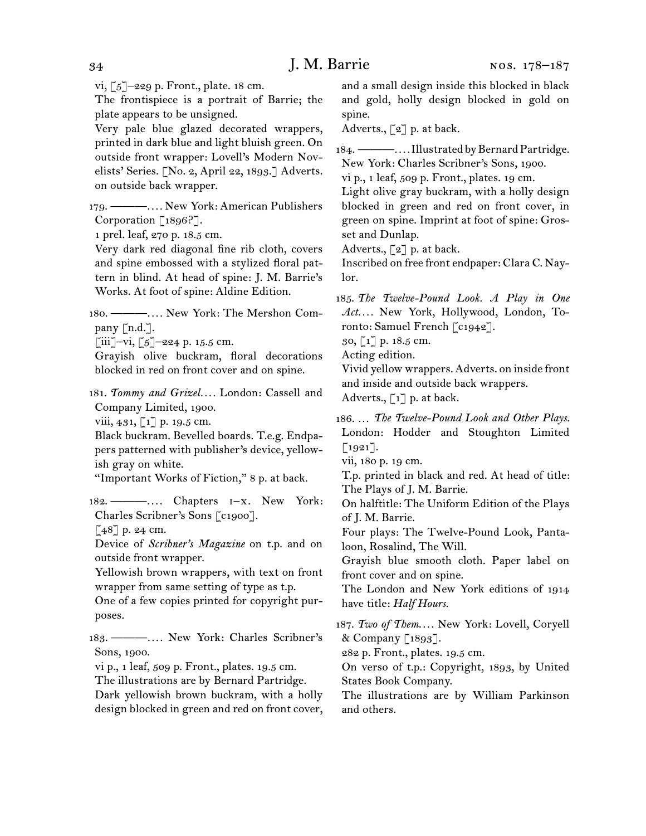vi,  $\lceil 5 \rceil$ -229 p. Front., plate. 18 cm.

The frontispiece is a portrait of Barrie; the plate appears to be unsigned.

Very pale blue glazed decorated wrappers, printed in dark blue and light bluish green. On outside front wrapper: Lovell's Modern Novelists' Series. [No. 2, April 22, 1893.] Adverts. on outside back wrapper.

179.  ———*. . . .* New York: American Publishers Corporation [1896?].

1 prel. leaf, 270 p. 18.5 cm.

Very dark red diagonal fine rib cloth, covers and spine embossed with a stylized floral pattern in blind. At head of spine: J. M. Barrie's Works. At foot of spine: Aldine Edition.

180.  ———*. . . .* New York: The Mershon Company [n.d.].

 $[iii]$ –vi,  $[5]$ –224 p. 15.5 cm.

Grayish olive buckram, floral decorations blocked in red on front cover and on spine.

181.  *Tommy and Grizel. . . .* London: Cassell and Company Limited, 1900.

viii, 431, [1] p. 19.5 cm.

Black buckram. Bevelled boards. T.e.g. Endpapers patterned with publisher's device, yellowish gray on white.

"Important Works of Fiction," 8 p. at back.

182.  ———*. . . .* Chapters i–x. New York: Charles Scribner's Sons [c1900].

 $[48]$  p. 24 cm.

Device of *Scribner's Magazine* on t.p. and on outside front wrapper.

Yellowish brown wrappers, with text on front wrapper from same setting of type as t.p.

One of a few copies printed for copyright purposes.

183.  ———*. . . .* New York: Charles Scribner's Sons, 1900.

vi p., 1 leaf, 509 p. Front., plates. 19.5 cm.

The illustrations are by Bernard Partridge. Dark yellowish brown buckram, with a holly design blocked in green and red on front cover, and a small design inside this blocked in black and gold, holly design blocked in gold on spine.

Adverts.,  $\lceil 2 \rceil$  p. at back.

184. ————.... Illustrated by Bernard Partridge. New York: Charles Scribner's Sons, 1900.

vi p., 1 leaf, 509 p. Front., plates. 19 cm.

Light olive gray buckram, with a holly design blocked in green and red on front cover, in green on spine. Imprint at foot of spine: Grosset and Dunlap.

Adverts., [2] p. at back.

Inscribed on free front endpaper: Clara C. Naylor.

185.  *The Twelve-Pound Look. A Play in One Act. . . .* New York, Hollywood, London, Toronto: Samuel French [c1942].

30, [1] p. 18.5 cm.

Acting edition.

Vivid yellow wrappers. Adverts. on inside front and inside and outside back wrappers.

Adverts.,  $\lceil 1 \rceil$  p. at back.

186.  … *The Twelve-Pound Look and Other Plays.* London: Hodder and Stoughton Limited  $\lceil 1921 \rceil$ .

vii, 180 p. 19 cm.

T.p. printed in black and red. At head of title: The Plays of J. M. Barrie.

On halftitle: The Uniform Edition of the Plays of J. M. Barrie.

Four plays: The Twelve-Pound Look, Pantaloon, Rosalind, The Will.

Grayish blue smooth cloth. Paper label on front cover and on spine.

The London and New York editions of 1914 have title: *Half Hours.*

187.  *Two of Them*. . . . New York: Lovell, Coryell & Company [1893].

282 p. Front., plates. 19.5 cm.

On verso of t.p.: Copyright, 1893, by United States Book Company.

The illustrations are by William Parkinson and others.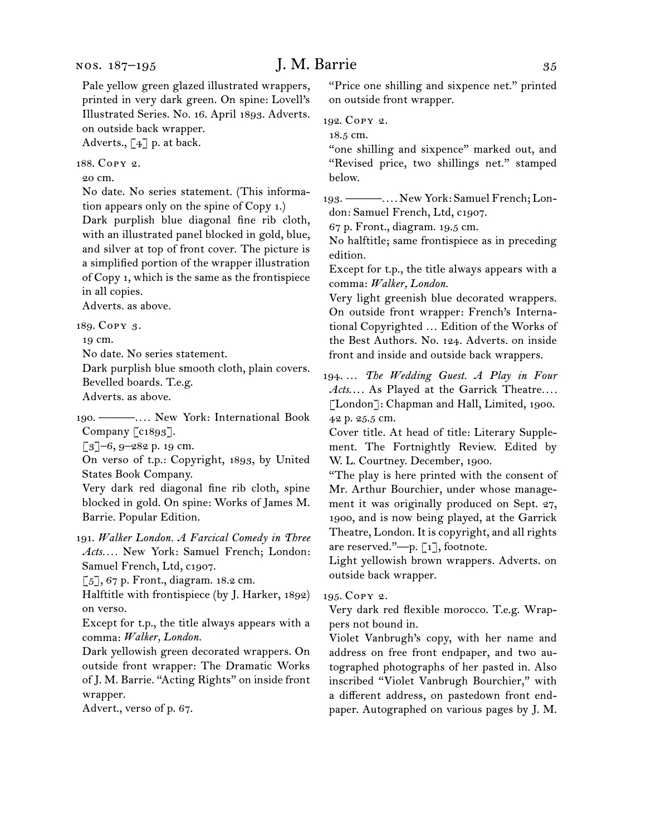Adverts., [4] p. at back.

188.  Copy 2.

20 cm.

No date. No series statement. (This information appears only on the spine of Copy 1.)

Dark purplish blue diagonal fine rib cloth, with an illustrated panel blocked in gold, blue, and silver at top of front cover. The picture is a simplified portion of the wrapper illustration of Copy 1, which is the same as the frontispiece in all copies.

Adverts. as above.

189.  Copy 3.

19 cm.

No date. No series statement.

Dark purplish blue smooth cloth, plain covers. Bevelled boards. T.e.g.

Adverts. as above.

190.  ———*. . . .* New York: International Book Company [c1893].

[3]–6, 9–282 p. 19 cm.

On verso of t.p.: Copyright, 1893, by United States Book Company.

Very dark red diagonal fine rib cloth, spine blocked in gold. On spine: Works of James M. Barrie. Popular Edition.

191.  *Walker London. A Farcical Comedy in Three Acts. . . .* New York: Samuel French; London: Samuel French, Ltd, c1907.

[5], 67 p. Front., diagram. 18.2 cm.

Halftitle with frontispiece (by J. Harker, 1892) on verso.

Except for t.p., the title always appears with a comma: *Walker, London.*

Dark yellowish green decorated wrappers. On outside front wrapper: The Dramatic Works of J. M. Barrie. "Acting Rights" on inside front wrapper.

Advert., verso of p. 67.

"Price one shilling and sixpence net." printed on outside front wrapper.

192.  Copy 2.

18.5 cm.

"one shilling and sixpence" marked out, and "Revised price, two shillings net." stamped below.

193.  ———*. . . .* New York: Samuel French; London: Samuel French, Ltd, c1907.

67 p. Front., diagram. 19.5 cm.

No halftitle; same frontispiece as in preceding edition.

Except for t.p., the title always appears with a comma: *Walker, London.*

Very light greenish blue decorated wrappers. On outside front wrapper: French's International Copyrighted … Edition of the Works of the Best Authors. No. 124. Adverts. on inside front and inside and outside back wrappers.

194.  … *The Wedding Guest. A Play in Four Acts*. . . . As Played at the Garrick Theatre*. . . .* [London]: Chapman and Hall, Limited, 1900. 42 p. 25.5 cm.

Cover title. At head of title: Literary Supplement. The Fortnightly Review. Edited by W. L. Courtney. December, 1900.

"The play is here printed with the consent of Mr. Arthur Bourchier, under whose management it was originally produced on Sept. 27, 1900, and is now being played, at the Garrick Theatre, London. It is copyright, and all rights are reserved."—p. [1], footnote.

Light yellowish brown wrappers. Adverts. on outside back wrapper.

#### 195.  Copy 2.

Very dark red flexible morocco. T.e.g. Wrappers not bound in.

Violet Vanbrugh's copy, with her name and address on free front endpaper, and two autographed photographs of her pasted in. Also inscribed "Violet Vanbrugh Bourchier," with a different address, on pastedown front endpaper. Autographed on various pages by J. M.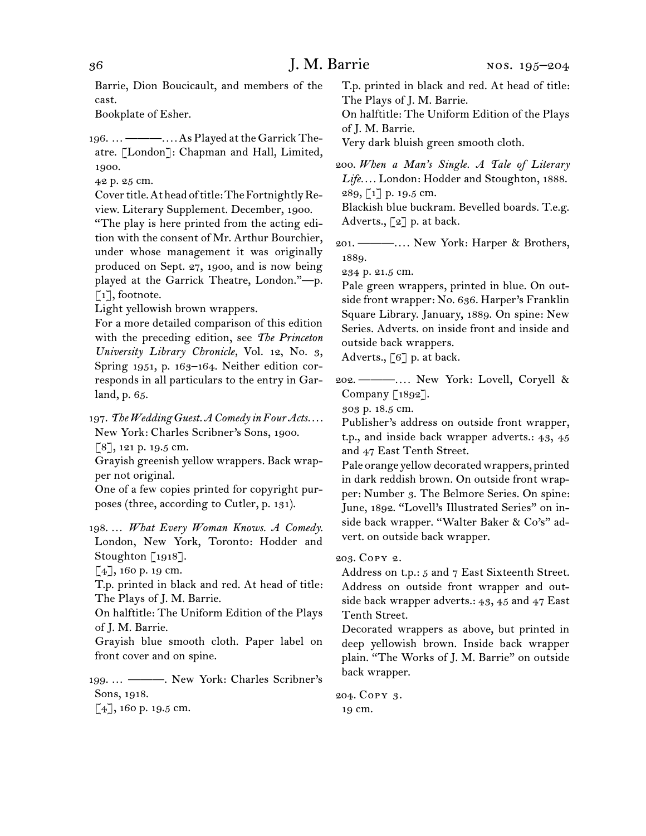Barrie, Dion Boucicault, and members of the cast.

Bookplate of Esher.

196.  …———*. . . .*As Played atthe Garrick Theatre. [London]: Chapman and Hall, Limited, 1900.

42 p. 25 cm.

Cover title. At head of title: The Fortnightly Review. Literary Supplement. December, 1900.

"The play is here printed from the acting edition with the consent of Mr. Arthur Bourchier, under whose management it was originally produced on Sept. 27, 1900, and is now being played at the Garrick Theatre, London."—p. [1], footnote.

Light yellowish brown wrappers.

For a more detailed comparison of this edition with the preceding edition, see *The Princeton University Library Chronicle,* Vol. 12, No. 3, Spring 1951, p. 163–164. Neither edition corresponds in all particulars to the entry in Garland, p. 65.

197.  *The Wedding Guest. A Comedy in Four Acts. . . .*  New York: Charles Scribner's Sons, 1900. [8], 121 p. 19.5 cm.

Grayish greenish yellow wrappers. Back wrapper not original.

One of a few copies printed for copyright purposes (three, according to Cutler, p. 131).

198.  … *What Every Woman Knows. A Comedy.* London, New York, Toronto: Hodder and Stoughton [1918].

 $[4]$ , 160 p. 19 cm.

T.p. printed in black and red. At head of title: The Plays of J. M. Barrie.

On halftitle: The Uniform Edition of the Plays of J. M. Barrie.

Grayish blue smooth cloth. Paper label on front cover and on spine.

199.  … ———. New York: Charles Scribner's Sons, 1918.

[4], 160 p. 19.5 cm.

T.p. printed in black and red. At head of title: The Plays of J. M. Barrie.

On halftitle: The Uniform Edition of the Plays of J. M. Barrie.

Very dark bluish green smooth cloth.

200.  *When a Man's Single. A Tale of Literary Life. . . .* London: Hodder and Stoughton, 1888. 289, [1] p. 19.5 cm.

Blackish blue buckram. Bevelled boards. T.e.g. Adverts.,  $\lceil 2 \rceil$  p. at back.

201.  ———*. . . .* New York: Harper & Brothers, 1889.

234 p. 21.5 cm.

Pale green wrappers, printed in blue. On outside front wrapper: No. 636. Harper's Franklin Square Library. January, 1889. On spine: New Series. Adverts. on inside front and inside and outside back wrappers.

Adverts.,  $\lceil 6 \rceil$  p. at back.

202.  ———*. . . .* New York: Lovell, Coryell & Company [1892].

303 p. 18.5 cm.

Publisher's address on outside front wrapper, t.p., and inside back wrapper adverts.: 43, 45 and 47 East Tenth Street.

Pale orange yellow decorated wrappers, printed in dark reddish brown. On outside front wrapper: Number 3. The Belmore Series. On spine: June, 1892. "Lovell's Illustrated Series" on inside back wrapper. "Walter Baker & Co's" advert. on outside back wrapper.

203.  Copy 2.

Address on t.p.: 5 and 7 East Sixteenth Street. Address on outside front wrapper and outside back wrapper adverts.: 43, 45 and 47 East Tenth Street.

Decorated wrappers as above, but printed in deep yellowish brown. Inside back wrapper plain. "The Works of J. M. Barrie" on outside back wrapper.

204.  Copy 3. 19 cm.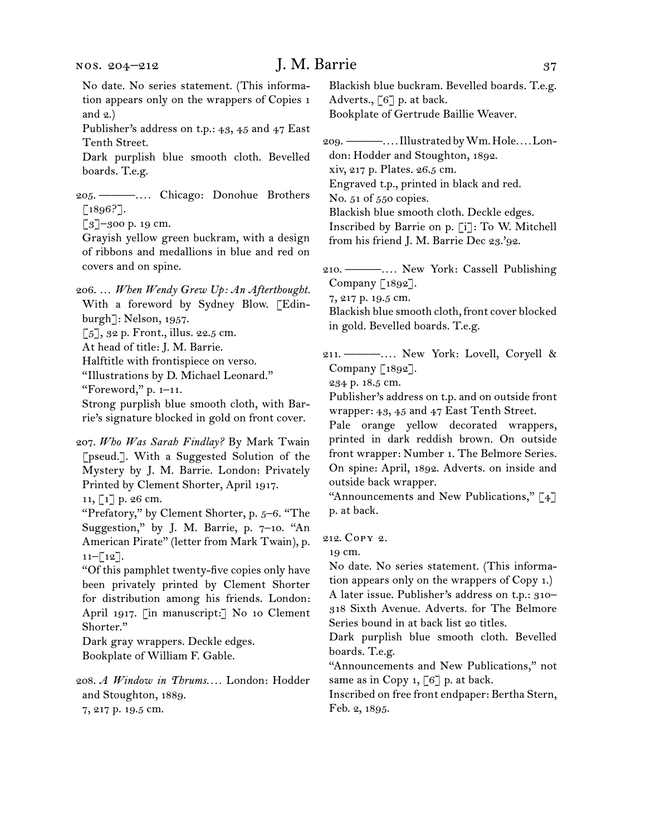| NOS. 204–212                                                                                                                                                                                                                                                                                                                                                                               | J. M. Barrie                                                                                                                                                                                                                                                                                                                                                                     | 37 |
|--------------------------------------------------------------------------------------------------------------------------------------------------------------------------------------------------------------------------------------------------------------------------------------------------------------------------------------------------------------------------------------------|----------------------------------------------------------------------------------------------------------------------------------------------------------------------------------------------------------------------------------------------------------------------------------------------------------------------------------------------------------------------------------|----|
| No date. No series statement. (This informa-<br>tion appears only on the wrappers of Copies 1<br>and $2.)$                                                                                                                                                                                                                                                                                 | Blackish blue buckram. Bevelled boards. T.e.g.<br>Adverts., [6] p. at back.<br>Bookplate of Gertrude Baillie Weaver.                                                                                                                                                                                                                                                             |    |
| Publisher's address on t.p.: 43, 45 and 47 East<br>Tenth Street.<br>Dark purplish blue smooth cloth. Bevelled<br>boards. T.e.g.<br>205. — —  Chicago: Donohue Brothers<br>$\left[1896? \right]$ .<br>$\lbrack 3 \rbrack$ -300 p. 19 cm.<br>Grayish yellow green buckram, with a design                                                                                                     | don: Hodder and Stoughton, 1892.<br>xiv, 217 p. Plates. 26.5 cm.<br>Engraved t.p., printed in black and red.<br>No. 51 of 550 copies.<br>Blackish blue smooth cloth. Deckle edges.<br>Inscribed by Barrie on p. [i]: To W. Mitchell<br>from his friend J. M. Barrie Dec 23.'92.                                                                                                  |    |
| of ribbons and medallions in blue and red on<br>covers and on spine.                                                                                                                                                                                                                                                                                                                       | 210. — —  New York: Cassell Publishing                                                                                                                                                                                                                                                                                                                                           |    |
| 206.  When Wendy Grew Up: An Afterthought.<br>With a foreword by Sydney Blow. [Edin-<br>burgh]: Nelson, 1957.<br>$[5]$ , 32 p. Front., illus. 22.5 cm.<br>At head of title: J. M. Barrie.                                                                                                                                                                                                  | Company [1892].<br>7, 217 p. 19.5 cm.<br>Blackish blue smooth cloth, front cover blocked<br>in gold. Bevelled boards. T.e.g.                                                                                                                                                                                                                                                     |    |
| Halftitle with frontispiece on verso.<br>"Illustrations by D. Michael Leonard."<br>"Foreword," $p. 1-11$ .<br>Strong purplish blue smooth cloth, with Bar-<br>rie's signature blocked in gold on front cover.                                                                                                                                                                              | 211. — —  New York: Lovell, Coryell &<br>Company [1892].<br>234 p. 18.5 cm.<br>Publisher's address on t.p. and on outside front<br>wrapper: 43, 45 and 47 East Tenth Street.<br>Pale orange yellow decorated wrappers,<br>printed in dark reddish brown. On outside                                                                                                              |    |
| 207. Who Was Sarah Findlay? By Mark Twain<br>[pseud.]. With a Suggested Solution of the<br>Mystery by J. M. Barrie. London: Privately<br>Printed by Clement Shorter, April 1917.<br>11, [1] p. 26 cm.<br>"Prefatory," by Clement Shorter, p. 5-6. "The                                                                                                                                     | front wrapper: Number 1. The Belmore Series.<br>On spine: April, 1892. Adverts. on inside and<br>outside back wrapper.<br>"Announcements and New Publications," [4]<br>p. at back.                                                                                                                                                                                               |    |
| Suggestion," by J. M. Barrie, p. 7-10. "An<br>American Pirate" (letter from Mark Twain), p.<br>$11-[12]$ .<br>"Of this pamphlet twenty-five copies only have<br>been privately printed by Clement Shorter<br>for distribution among his friends. London:<br>April 1917. [in manuscript:] No 10 Clement<br>Shorter."<br>Dark gray wrappers. Deckle edges.<br>Bookplate of William F. Gable. | 212. COPY 2.<br>19 cm.<br>No date. No series statement. (This informa-<br>tion appears only on the wrappers of Copy 1.)<br>A later issue. Publisher's address on t.p.: 310-<br>318 Sixth Avenue. Adverts. for The Belmore<br>Series bound in at back list 20 titles.<br>Dark purplish blue smooth cloth. Bevelled<br>boards. T.e.g.<br>"Announcements and New Publications," not |    |
| 208. A Window in Thrums London: Hodder<br>and Stoughton, 1889.<br>7, 217 p. 19.5 cm.                                                                                                                                                                                                                                                                                                       | same as in Copy 1, $[6]$ p. at back.<br>Inscribed on free front endpaper: Bertha Stern,<br>Feb. 2, 1895.                                                                                                                                                                                                                                                                         |    |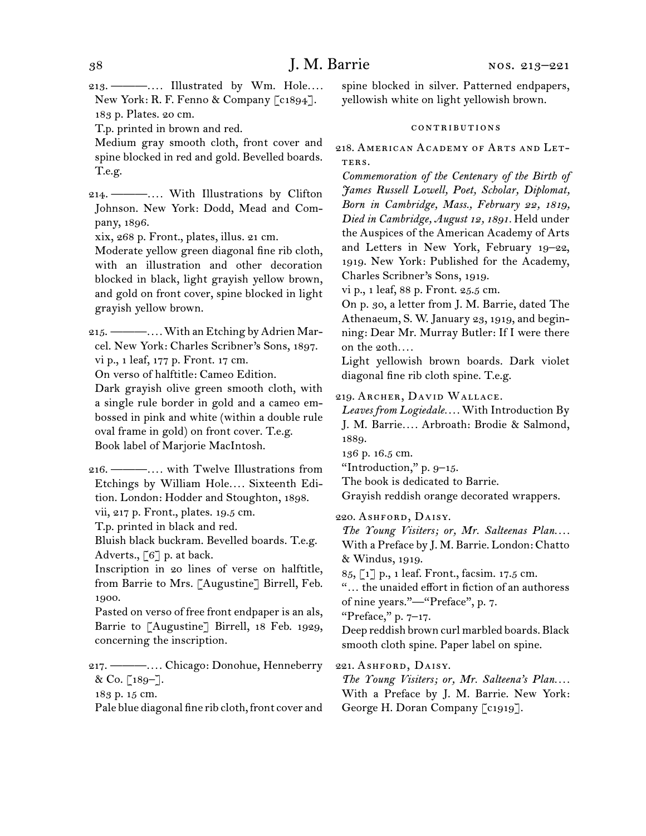213.  ———*. . . .* Illustrated by Wm. Hole*. . . .* New York: R. F. Fenno & Company [c1894]. 183 p. Plates. 20 cm.

T.p. printed in brown and red.

Medium gray smooth cloth, front cover and spine blocked in red and gold. Bevelled boards. T.e.g.

214.  ———*. . . .* With Illustrations by Clifton Johnson. New York: Dodd, Mead and Company, 1896.

xix, 268 p. Front., plates, illus. 21 cm.

Moderate yellow green diagonal fine rib cloth, with an illustration and other decoration blocked in black, light grayish yellow brown, and gold on front cover, spine blocked in light grayish yellow brown.

215.  ———*. . . .*With anEtching byAdrien Marcel. New York: Charles Scribner's Sons, 1897. vi p., 1 leaf, 177 p. Front. 17 cm.

On verso of halftitle: Cameo Edition.

Dark grayish olive green smooth cloth, with a single rule border in gold and a cameo embossed in pink and white (within a double rule oval frame in gold) on front cover. T.e.g. Book label of Marjorie MacIntosh.

216.  ———*. . . .* with Twelve Illustrations from Etchings by William Hole*. . . .* Sixteenth Edition. London: Hodder and Stoughton, 1898.

vii, 217 p. Front., plates. 19.5 cm.

T.p. printed in black and red.

Bluish black buckram. Bevelled boards. T.e.g. Adverts.,  $\lceil 6 \rceil$  p. at back.

Inscription in 20 lines of verse on halftitle, from Barrie to Mrs. [Augustine] Birrell, Feb. 1900.

Pasted on verso of free front endpaper is an als, Barrie to [Augustine] Birrell, 18 Feb. 1929, concerning the inscription.

217.  ———*. . . .* Chicago: Donohue, Henneberry & Co. [189-].

183 p. 15 cm.

Pale blue diagonal fine rib cloth, front cover and

spine blocked in silver. Patterned endpapers, yellowish white on light yellowish brown.

#### contributions

218.  American Academy of Arts and Let-TERS.

*Commemoration of the Centenary of the Birth of James Russell Lowell, Poet, Scholar, Diplomat, Born in Cambridge, Mass., February 22, 1819, Died in Cambridge, August 12, 1891.* Held under the Auspices of the American Academy of Arts and Letters in New York, February 19–22, 1919. New York: Published for the Academy, Charles Scribner's Sons, 1919.

vi p., 1 leaf, 88 p. Front. 25.5 cm.

On p. 30, a letter from J. M. Barrie, dated The Athenaeum, S. W. January 23, 1919, and beginning: Dear Mr. Murray Butler: If I were there on the 20th*. . . .*

Light yellowish brown boards. Dark violet diagonal fine rib cloth spine. T.e.g.

219.  Archer, David Wallace.

*Leaves from Logiedale. . . .* With Introduction By J. M. Barrie*. . . .* Arbroath: Brodie & Salmond, 1889.

136 p. 16.5 cm.

"Introduction," p. 9–15.

The book is dedicated to Barrie.

Grayish reddish orange decorated wrappers.

220.  Ashford, Daisy.

*The Young Visiters; or, Mr. Salteenas Plan....* With a Preface by J. M. Barrie. London: Chatto & Windus, 1919.

85, [1] p., 1 leaf. Front., facsim. 17.5 cm.

"… the unaided effort in fiction of an authoress of nine years."—"Preface", p. 7.

"Preface," p. 7–17.

Deep reddish brown curl marbled boards. Black smooth cloth spine. Paper label on spine.

221.  Ashford, Daisy.

*The Young Visiters; or, Mr. Salteena's Plan....* With a Preface by J. M. Barrie. New York: George H. Doran Company [c1919].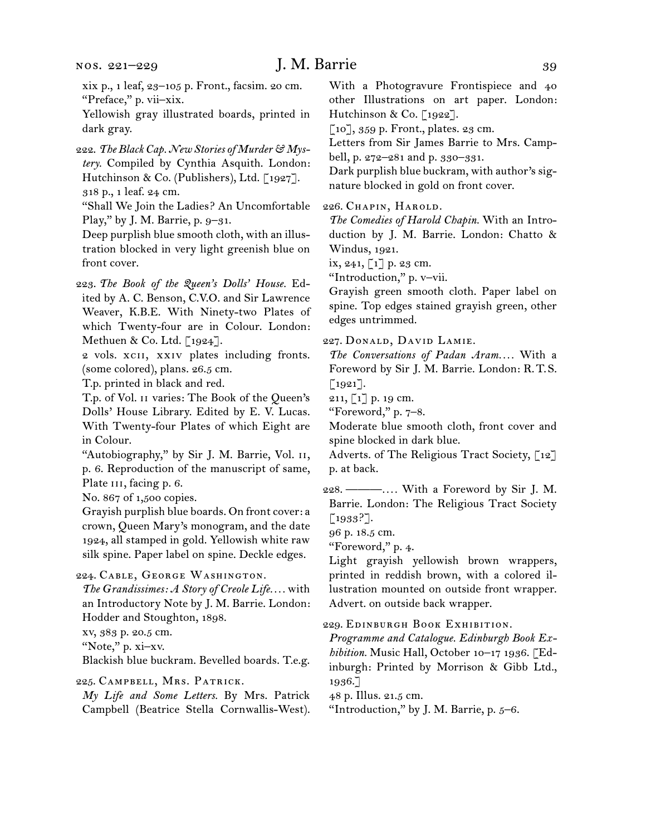## J. M. Barrie 39

xix p., 1 leaf, 23–105 p. Front., facsim. 20 cm. "Preface," p. vii–xix.

Yellowish gray illustrated boards, printed in dark gray.

222.  *The Black Cap. New Stories of Murder & Mystery.* Compiled by Cynthia Asquith. London: Hutchinson & Co. (Publishers), Ltd. [1927]. 318 p., 1 leaf. 24 cm.

"Shall We Join the Ladies? An Uncomfortable Play," by J. M. Barrie, p. 9-31.

Deep purplish blue smooth cloth, with an illustration blocked in very light greenish blue on front cover.

223.  *The Book of the Queen's Dolls' House.* Edited by A. C. Benson, C.V.O. and Sir Lawrence Weaver, K.B.E. With Ninety-two Plates of which Twenty-four are in Colour. London: Methuen & Co. Ltd. [1924].

2 vols. xcii, xxiv plates including fronts. (some colored), plans. 26.5 cm.

T.p. printed in black and red.

T.p. of Vol. ii varies: The Book of the Queen's Dolls' House Library. Edited by E. V. Lucas. With Twenty-four Plates of which Eight are in Colour.

"Autobiography," by Sir J. M. Barrie, Vol. ii, p. 6. Reproduction of the manuscript of same, Plate III, facing p. 6.

No. 867 of 1,500 copies.

Grayish purplish blue boards. On front cover: a crown, Queen Mary's monogram, and the date 1924, all stamped in gold. Yellowish white raw silk spine. Paper label on spine. Deckle edges.

224.  Cable, George Washington.

*The Grandissimes: A Story of Creole Life. . . .* with an Introductory Note by J. M. Barrie. London: Hodder and Stoughton, 1898.

xv, 383 p. 20.5 cm.

"Note," p. xi–xv.

Blackish blue buckram. Bevelled boards. T.e.g.

225.  Campbell, Mrs. Patrick.

*My Life and Some Letters.* By Mrs. Patrick Campbell (Beatrice Stella Cornwallis-West).

With a Photogravure Frontispiece and 40 other Illustrations on art paper. London: Hutchinson & Co. [1922].

[10], 359 p. Front., plates. 23 cm.

Letters from Sir James Barrie to Mrs. Camp-

bell, p. 272–281 and p. 330–331.

Dark purplish blue buckram, with author's signature blocked in gold on front cover.

226.  Chapin, Harold.

*The Comedies of Harold Chapin.* With an Introduction by J. M. Barrie. London: Chatto & Windus, 1921.

 $ix, 241, 1] p. 23 cm.$ 

"Introduction," p. v–vii.

Grayish green smooth cloth. Paper label on spine. Top edges stained grayish green, other edges untrimmed.

227.  Donald, David Lamie.

*The Conversations of Padan Aram. . . .* With a Foreword by Sir J. M. Barrie. London: R. T. S. [1921].

211, [1] p. 19 cm.

"Foreword," p. 7–8.

Moderate blue smooth cloth, front cover and spine blocked in dark blue.

Adverts. of The Religious Tract Society, [12] p. at back.

228.  ———*. . . .* With a Foreword by Sir J. M. Barrie. London: The Religious Tract Society [1933?].

96 p. 18.5 cm.

"Foreword," p. 4.

Light grayish yellowish brown wrappers, printed in reddish brown, with a colored illustration mounted on outside front wrapper. Advert. on outside back wrapper.

229.  Edinburgh Book Exhibition.

*Programme and Catalogue. Edinburgh Book Exhibition.* Music Hall, October 10–17 1936. [Edinburgh: Printed by Morrison & Gibb Ltd., 1936.]

48 p. Illus. 21.5 cm.

"Introduction," by J. M. Barrie, p.  $5-6$ .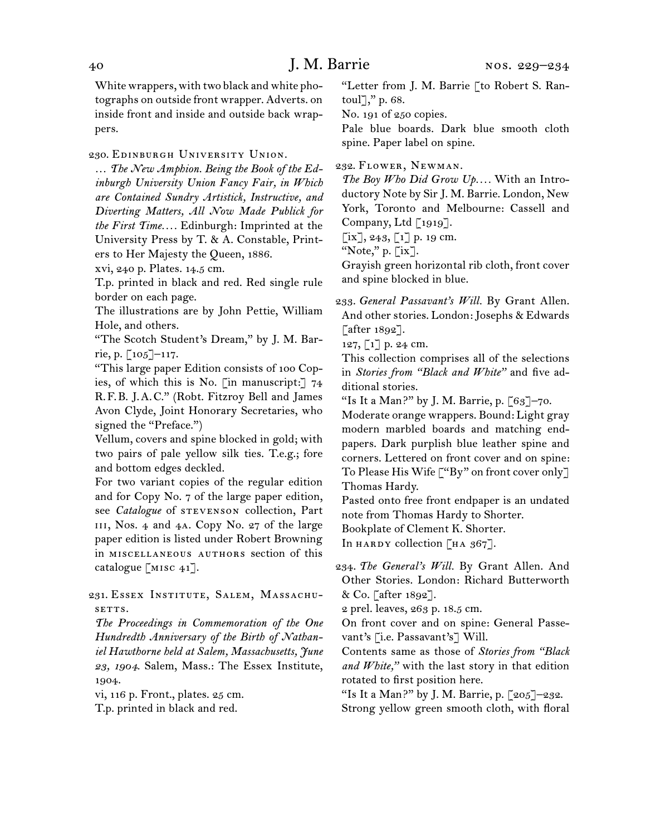White wrappers, with two black and white photographs on outside front wrapper. Adverts. on inside front and inside and outside back wrappers.

230.  Edinburgh University Union.

… *The New Amphion. Being the Book of the Edinburgh University Union Fancy Fair, in Which are Contained Sundry Artistick, Instructive, and Diverting Matters, All Now Made Publick for the First Time. . . .* Edinburgh: Imprinted at the University Press by T. & A. Constable, Printers to Her Majesty the Queen, 1886.

xvi, 240 p. Plates. 14.5 cm.

T.p. printed in black and red. Red single rule border on each page.

The illustrations are by John Pettie, William Hole, and others.

"The Scotch Student's Dream," by J. M. Barrie, p. [105]–117.

"This large paper Edition consists of 100 Copies, of which this is No. [in manuscript:] 74 R. F. B. J. A. C." (Robt. Fitzroy Bell and James Avon Clyde, Joint Honorary Secretaries, who signed the "Preface.")

Vellum, covers and spine blocked in gold; with two pairs of pale yellow silk ties. T.e.g.; fore and bottom edges deckled.

For two variant copies of the regular edition and for Copy No. 7 of the large paper edition, see *Catalogue* of stevenson collection, Part iii, Nos. 4 and 4a. Copy No. 27 of the large paper edition is listed under Robert Browning in miscellaneous authors section of this catalogue [misc 41].

231.  Essex Institute, Salem, Massachusetts.

*The Proceedings in Commemoration of the One Hundredth Anniversary of the Birth of Nathaniel Hawthorne held at Salem, Massachusetts, June 23, 1904.* Salem, Mass.: The Essex Institute, 1904.

vi, 116 p. Front., plates. 25 cm.

T.p. printed in black and red.

"Letter from J. M. Barrie [to Robert S. Rantoul]," p. 68.

No. 191 of 250 copies.

Pale blue boards. Dark blue smooth cloth spine. Paper label on spine.

232.  Flower, Newman.

*The Boy Who Did Grow Up. . . .* With an Introductory Note by Sir J. M. Barrie. London, New York, Toronto and Melbourne: Cassell and Company, Ltd [1919].

 $[ix], 243, [1]$  p. 19 cm.

"Note," p. [ix].

Grayish green horizontal rib cloth, front cover and spine blocked in blue.

233.  *General Passavant's Will.* By Grant Allen. And other stories. London: Josephs & Edwards [after 1892].

127, [1] p. 24 cm.

This collection comprises all of the selections in *Stories from "Black and White"* and five additional stories.

"Is It a Man?" by J. M. Barrie, p.  $\lceil 63 \rceil$ -70.

Moderate orange wrappers. Bound: Light gray modern marbled boards and matching endpapers. Dark purplish blue leather spine and corners. Lettered on front cover and on spine: To Please His Wife ["By" on front cover only] Thomas Hardy.

Pasted onto free front endpaper is an undated note from Thomas Hardy to Shorter.

Bookplate of Clement K. Shorter.

In HARDY collection  $\left[HA\ 367\right]$ .

234.  *The General's Will.* By Grant Allen. And Other Stories. London: Richard Butterworth & Co. [after 1892].

2 prel. leaves, 263 p. 18.5 cm.

On front cover and on spine: General Passevant's [i.e. Passavant's] Will.

Contents same as those of *Stories from "Black and White,"* with the last story in that edition rotated to first position here.

"Is It a Man?" by J. M. Barrie, p. [205]–232. Strong yellow green smooth cloth, with floral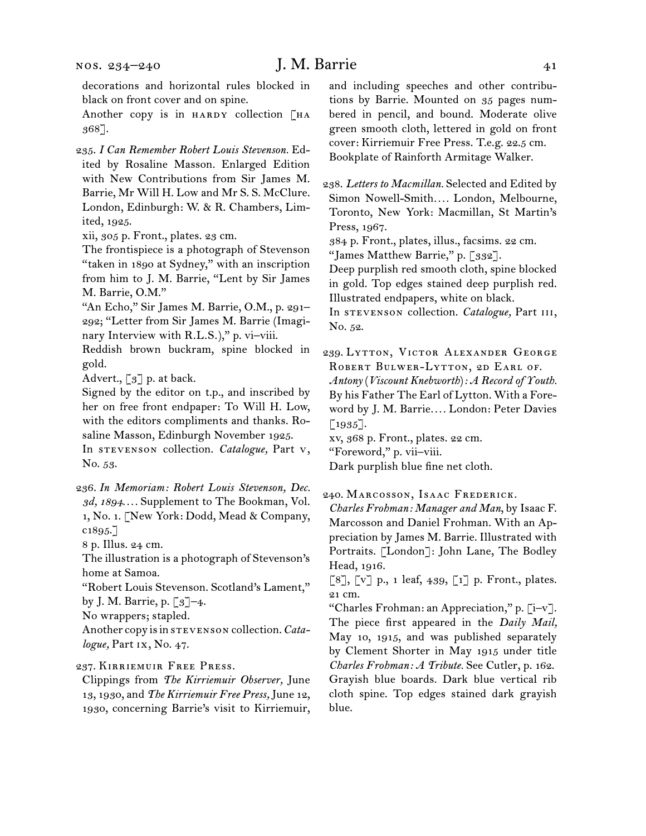decorations and horizontal rules blocked in black on front cover and on spine.

Another copy is in HARDY collection [HA 368].

235.  *I Can Remember Robert Louis Stevenson.* Edited by Rosaline Masson. Enlarged Edition with New Contributions from Sir James M. Barrie, Mr Will H. Low and Mr S. S. McClure. London, Edinburgh: W. & R. Chambers, Limited, 1925.

xii, 305 p. Front., plates. 23 cm.

The frontispiece is a photograph of Stevenson "taken in 1890 at Sydney," with an inscription from him to J. M. Barrie, "Lent by Sir James M. Barrie, O.M."

"An Echo," Sir James M. Barrie, O.M., p. 291– 292; "Letter from Sir James M. Barrie (Imaginary Interview with R.L.S.)," p. vi-viii.

Reddish brown buckram, spine blocked in gold.

Advert.,  $\lceil 3 \rceil$  p. at back.

Signed by the editor on t.p., and inscribed by her on free front endpaper: To Will H. Low, with the editors compliments and thanks. Rosaline Masson, Edinburgh November 1925.

In stevenson collection. *Catalogue,* Part v, No. 53.

236.  *In Memoriam: Robert Louis Stevenson, Dec. 3d, 1894. . . .* Supplement to The Bookman, Vol. 1, No. 1. [New York: Dodd, Mead & Company, c1895.]

8 p. Illus. 24 cm.

The illustration is a photograph of Stevenson's home at Samoa.

"Robert Louis Stevenson. Scotland's Lament," by J. M. Barrie, p. [3]–4.

No wrappers; stapled.

Another copy isin stevenson collection.*Catalogue,* Part ix, No. 47.

237.  Kirriemuir Free Press.

Clippings from *The Kirriemuir Observer,* June 13, 1930, and *The Kirriemuir Free Press,* June 12, 1930, concerning Barrie's visit to Kirriemuir,

and including speeches and other contributions by Barrie. Mounted on 35 pages numbered in pencil, and bound. Moderate olive green smooth cloth, lettered in gold on front cover: Kirriemuir Free Press. T.e.g. 22.5 cm. Bookplate of Rainforth Armitage Walker.

238.  *Letters to Macmillan.* Selected and Edited by Simon Nowell-Smith*. . . .* London, Melbourne, Toronto, New York: Macmillan, St Martin's Press, 1967.

384 p. Front., plates, illus., facsims. 22 cm.

"James Matthew Barrie," p. [332].

Deep purplish red smooth cloth, spine blocked in gold. Top edges stained deep purplish red. Illustrated endpapers, white on black.

In stevenson collection. *Catalogue,* Part iii, No. 52.

239.  Lytton, Victor Alexander George ROBERT BULWER-LYTTON, 2D EARL OF.

*Antony* (*Viscount Knebworth*)*: A Record of Youth.* By his Father The Earl of Lytton. With a Foreword by J. M. Barrie*. . . .* London: Peter Davies  $[1935]$ .

xv, 368 p. Front., plates. 22 cm.

"Foreword," p. vii–viii.

Dark purplish blue fine net cloth.

240.  Marcosson, Isaac Frederick.

*Charles Frohman: Manager and Man*, by Isaac F. Marcosson and Daniel Frohman. With an Appreciation by James M. Barrie. Illustrated with Portraits. [London]: John Lane, The Bodley Head, 1916.

 $\lbrack 8 \rbrack$ ,  $\lbrack v \rbrack$  p., 1 leaf, 439,  $\lbrack 1 \rbrack$  p. Front., plates. 21 cm.

"Charles Frohman: an Appreciation," p. [i–v]. The piece first appeared in the *Daily Mail,*  May 10, 1915, and was published separately by Clement Shorter in May 1915 under title *Charles Frohman: A Tribute.* See Cutler, p. 162. Grayish blue boards. Dark blue vertical rib cloth spine. Top edges stained dark grayish blue.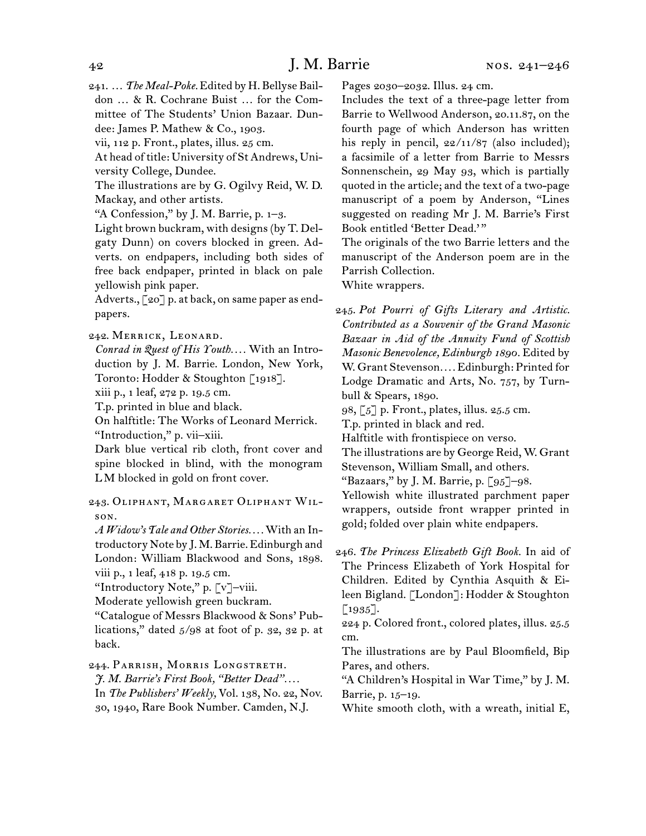241.  … *The Meal-Poke.* Edited by H. Bellyse Baildon … & R. Cochrane Buist … for the Committee of The Students' Union Bazaar. Dundee: James P. Mathew & Co., 1903.

vii, 112 p. Front., plates, illus. 25 cm.

At head of title: University of St Andrews, University College, Dundee.

The illustrations are by G. Ogilvy Reid, W. D. Mackay, and other artists.

"A Confession," by J. M. Barrie, p. 1–3.

Light brown buckram, with designs(by T. Delgaty Dunn) on covers blocked in green. Adverts. on endpapers, including both sides of free back endpaper, printed in black on pale yellowish pink paper.

Adverts., [20] p. at back, on same paper as endpapers.

242.  Merrick, Leonard.

*Conrad in Quest of His Youth. . . .* With an Introduction by J. M. Barrie. London, New York, Toronto: Hodder & Stoughton [1918].

xiii p., 1 leaf, 272 p. 19.5 cm.

T.p. printed in blue and black.

On halftitle: The Works of Leonard Merrick. "Introduction," p. vii–xiii.

Dark blue vertical rib cloth, front cover and spine blocked in blind, with the monogram L M blocked in gold on front cover.

243.  Oliphant, Margaret Oliphant Wilson.

*A Widow's Tale and Other Stories. . . .*With an Introductory Note by J. M. Barrie.Edinburgh and London: William Blackwood and Sons, 1898. viii p., 1 leaf, 418 p. 19.5 cm.

"Introductory Note," p. [v]–viii.

Moderate yellowish green buckram.

"Catalogue of Messrs Blackwood & Sons' Publications," dated 5/98 at foot of p. 32, 32 p. at back.

244.  Parrish, Morris Longstreth.

*J. M. Barrie's First Book, "Better Dead". . . .* In *The Publishers' Weekly,* Vol. 138, No. 22, Nov. 30, 1940, Rare Book Number. Camden, N.J.

Pages 2030–2032. Illus. 24 cm.

Includes the text of a three-page letter from Barrie to Wellwood Anderson, 20.11.87, on the fourth page of which Anderson has written his reply in pencil,  $22/11/87$  (also included); a facsimile of a letter from Barrie to Messrs Sonnenschein, 29 May 93, which is partially quoted in the article; and the text of a two-page manuscript of a poem by Anderson, "Lines suggested on reading Mr J. M. Barrie's First Book entitled 'Better Dead.' "

The originals of the two Barrie letters and the manuscript of the Anderson poem are in the Parrish Collection.

White wrappers.

245.  *Pot Pourri of Gifts Literary and Artistic. Contributed as a Souvenir of the Grand Masonic Bazaar in Aid of the Annuity Fund of Scottish Masonic Benevolence, Edinburgh 1890.* Edited by W. Grant Stevenson*. . . .* Edinburgh: Printed for Lodge Dramatic and Arts, No. 757, by Turnbull & Spears, 1890.

98, [5] p. Front., plates, illus. 25.5 cm.

T.p. printed in black and red.

Halftitle with frontispiece on verso.

The illustrations are by George Reid, W. Grant Stevenson, William Small, and others.

"Bazaars," by J. M. Barrie, p.  $\lceil 95 \rceil$ -98.

Yellowish white illustrated parchment paper wrappers, outside front wrapper printed in gold; folded over plain white endpapers.

246.  *The Princess Elizabeth Gift Book.* In aid of The Princess Elizabeth of York Hospital for Children. Edited by Cynthia Asquith & Eileen Bigland. [London]: Hodder & Stoughton  $\lceil 1935 \rceil$ .

224 p. Colored front., colored plates, illus. 25.5 cm.

The illustrations are by Paul Bloomfield, Bip Pares, and others.

"A Children's Hospital in War Time," by J. M. Barrie, p. 15–19.

White smooth cloth, with a wreath, initial E,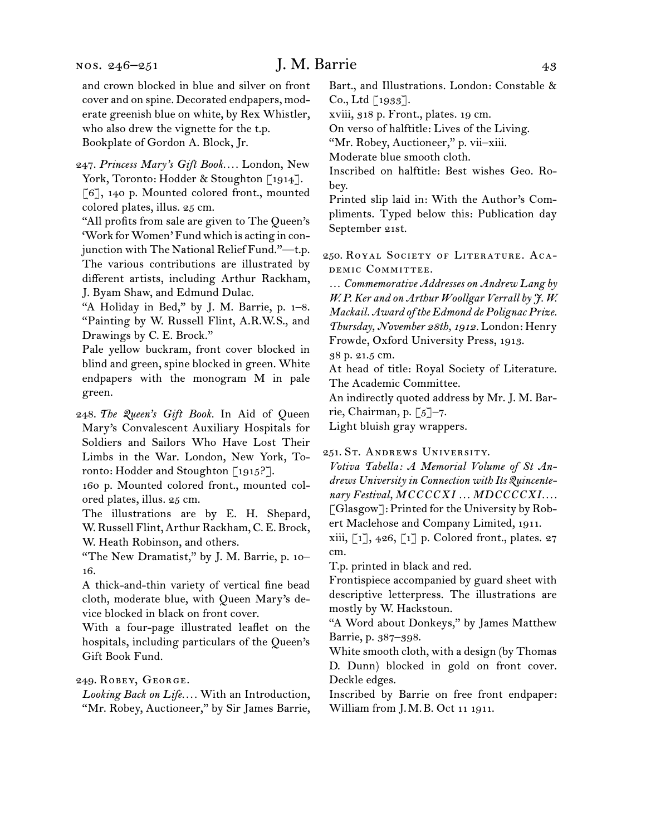247.  *Princess Mary's Gift Book. . . .* London, New York, Toronto: Hodder & Stoughton [1914]. [6], 140 p. Mounted colored front., mounted colored plates, illus. 25 cm.

"All profits from sale are given to The Queen's 'Work for Women' Fund which is acting in conjunction with The National Relief Fund."—t.p. The various contributions are illustrated by different artists, including Arthur Rackham, J. Byam Shaw, and Edmund Dulac.

"A Holiday in Bed," by J. M. Barrie, p. 1–8. "Painting by W. Russell Flint, A.R.W.S., and Drawings by C. E. Brock."

Pale yellow buckram, front cover blocked in blind and green, spine blocked in green. White endpapers with the monogram M in pale green.

248.  *The Queen's Gift Book.* In Aid of Queen Mary's Convalescent Auxiliary Hospitals for Soldiers and Sailors Who Have Lost Their Limbs in the War. London, New York, Toronto: Hodder and Stoughton [1915?].

160 p. Mounted colored front., mounted colored plates, illus. 25 cm.

The illustrations are by E. H. Shepard, W. Russell Flint, Arthur Rackham, C. E. Brock, W. Heath Robinson, and others.

"The New Dramatist," by J. M. Barrie, p. 10– 16.

A thick-and-thin variety of vertical fine bead cloth, moderate blue, with Queen Mary's device blocked in black on front cover.

With a four-page illustrated leaflet on the hospitals, including particulars of the Queen's Gift Book Fund.

#### 249.  Robey, George.

*Looking Back on Life. . . .* With an Introduction, "Mr. Robey, Auctioneer," by Sir James Barrie,

Bart., and Illustrations. London: Constable & Co., Ltd [1933].

xviii, 318 p. Front., plates. 19 cm.

On verso of halftitle: Lives of the Living.

"Mr. Robey, Auctioneer," p. vii–xiii.

Moderate blue smooth cloth.

Inscribed on halftitle: Best wishes Geo. Robey.

Printed slip laid in: With the Author's Compliments. Typed below this: Publication day September 21st.

250.  Royal Society of Literature. Academic Committee.

… *Commemorative Addresses on Andrew Lang by W. P. Ker and on Arthur Woollgar Verrall by J. W. Mackail. Award of the Edmond de Polignac Prize. Thursday, November 28th, 1912.* London: Henry Frowde, Oxford University Press, 1913.

38 p. 21.5 cm.

At head of title: Royal Society of Literature. The Academic Committee.

An indirectly quoted address by Mr. J. M. Barrie, Chairman, p. [5]–7.

Light bluish gray wrappers.

251.  St. Andrews University.

*Votiva Tabella: A Memorial Volume of St Andrews University in Connection with Its Quincentenary Festival, MCCCCXI . . . MDCCCCXI. . . .* [Glasgow]: Printed forthe University by Robert Maclehose and Company Limited, 1911.

xiii,  $\begin{bmatrix} 1 \end{bmatrix}$ , 426,  $\begin{bmatrix} 1 \end{bmatrix}$  p. Colored front., plates. 27 cm.

T.p. printed in black and red.

Frontispiece accompanied by guard sheet with descriptive letterpress. The illustrations are mostly by W. Hackstoun.

"A Word about Donkeys," by James Matthew Barrie, p. 387–398.

White smooth cloth, with a design (by Thomas D. Dunn) blocked in gold on front cover. Deckle edges.

Inscribed by Barrie on free front endpaper: William from J. M. B. Oct 11 1911.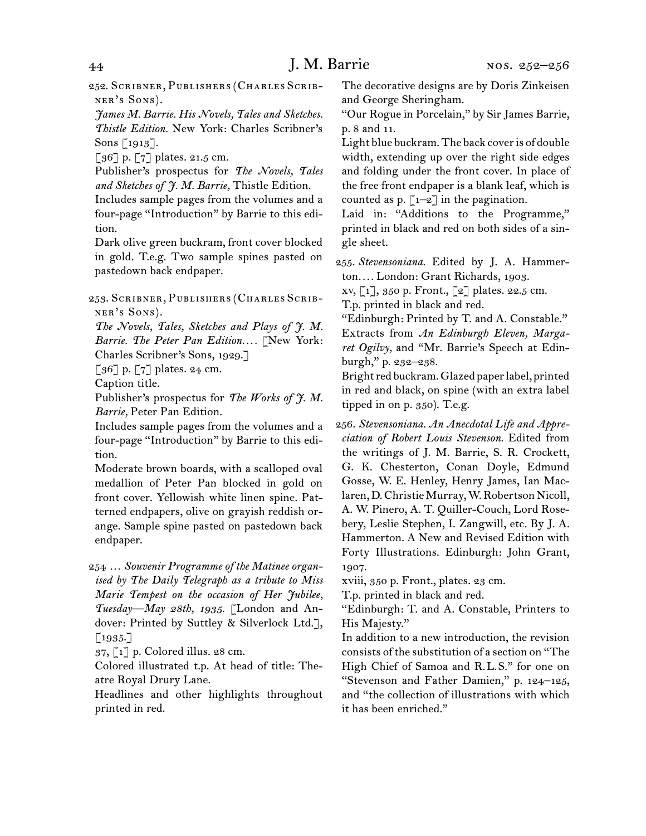252.  Scribner, Publishers (Charles Scribner's Sons).

*James M. Barrie. His Novels, Tales and Sketches. Thistle Edition.* New York: Charles Scribner's Sons [1913].

[36] p. [7] plates. 21.5 cm.

Publisher's prospectus for *The Novels, Tales and Sketches of J. M. Barrie,* Thistle Edition.

Includes sample pages from the volumes and a four-page "Introduction" by Barrie to this edition.

Dark olive green buckram, front cover blocked in gold. T.e.g. Two sample spines pasted on pastedown back endpaper.

253.  Scribner, Publishers (Charles Scribner's Sons).

*The Novels, Tales, Sketches and Plays of J. M. Barrie. The Peter Pan Edition. . . .* [New York: Charles Scribner's Sons, 1929.]

[ $36$ ] p. [7] plates. 24 cm.

Caption title.

Publisher's prospectus for *The Works of J. M. Barrie,* Peter Pan Edition.

Includes sample pages from the volumes and a four-page "Introduction" by Barrie to this edition.

Moderate brown boards, with a scalloped oval medallion of Peter Pan blocked in gold on front cover. Yellowish white linen spine. Patterned endpapers, olive on grayish reddish orange. Sample spine pasted on pastedown back endpaper.

254  … *Souvenir Programme of the Matinee organised by The Daily Telegraph as a tribute to Miss Marie Tempest on the occasion of Her Jubilee, Tuesday—May 28th, 1935.* [London and Andover: Printed by Suttley & Silverlock Ltd.], [1935.]

37, [1] p. Colored illus. 28 cm.

Colored illustrated t.p. At head of title: Theatre Royal Drury Lane.

Headlines and other highlights throughout printed in red.

The decorative designs are by Doris Zinkeisen and George Sheringham.

"Our Rogue in Porcelain," by Sir James Barrie, p. 8 and 11.

Light blue buckram. The back cover is of double width, extending up over the right side edges and folding under the front cover. In place of the free front endpaper is a blank leaf, which is counted as p.  $\lceil 1-2 \rceil$  in the pagination.

Laid in: "Additions to the Programme," printed in black and red on both sides of a single sheet.

255.  *Stevensoniana.* Edited by J. A. Hammerton*. . . .* London: Grant Richards, 1903.

xv, [1], 350 p. Front., [2] plates. 22.5 cm.

T.p. printed in black and red.

"Edinburgh: Printed by T. and A. Constable." Extracts from *An Edinburgh Eleven, Margaret Ogilvy,* and "Mr. Barrie's Speech at Edinburgh," p. 232–238.

Brightred buckram.Glazed paperlabel, printed in red and black, on spine (with an extra label tipped in on p. 350). T.e.g.

256.  *Stevensoniana. An Anecdotal Life and Appreciation of Robert Louis Stevenson.* Edited from the writings of J. M. Barrie, S. R. Crockett, G. K. Chesterton, Conan Doyle, Edmund Gosse, W. E. Henley, Henry James, Ian Maclaren, D. Christie Murray, W. Robertson Nicoll, A. W. Pinero, A. T. Quiller-Couch, Lord Rosebery, Leslie Stephen, I. Zangwill, etc. By J. A. Hammerton. A New and Revised Edition with Forty Illustrations. Edinburgh: John Grant, 1907.

xviii, 350 p. Front., plates. 23 cm.

T.p. printed in black and red.

"Edinburgh: T. and A. Constable, Printers to His Majesty."

In addition to a new introduction, the revision consists of the substitution of a section on "The High Chief of Samoa and R.L.S." for one on "Stevenson and Father Damien," p. 124–125, and "the collection of illustrations with which it has been enriched."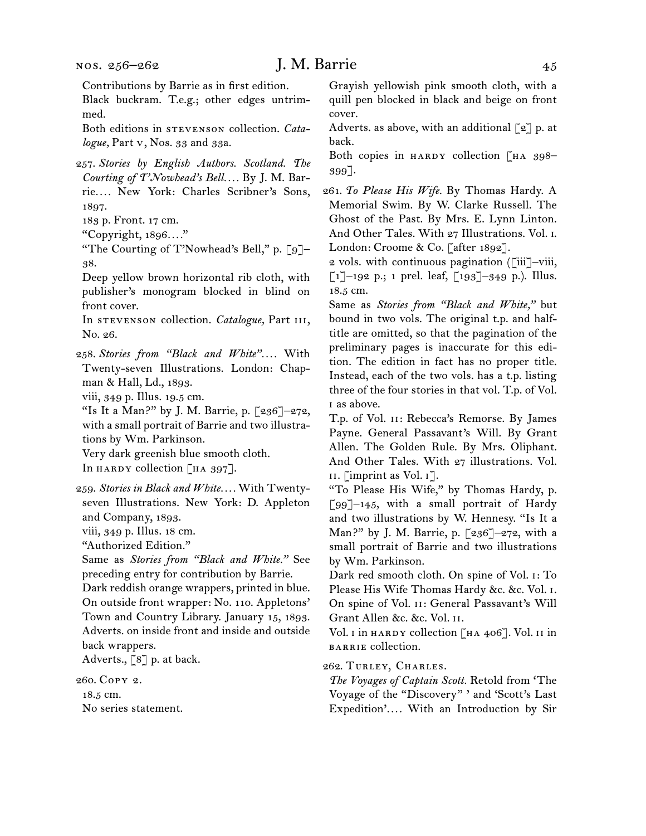Contributions by Barrie as in first edition.

Black buckram. T.e.g.; other edges untrimmed.

Both editions in **STEVENSON** collection. *Catalogue,* Part v, Nos. 33 and 33a.

257.  *Stories by English Authors. Scotland. The Courting of T'Nowhead's Bell. . . .* By J. M. Barrie*. . . .* New York: Charles Scribner's Sons, 1897.

183 p. Front. 17 cm.

"Copyright, 1896*. . . .*"

"The Courting of T'Nowhead's Bell," p. [9]– 38.

Deep yellow brown horizontal rib cloth, with publisher's monogram blocked in blind on front cover.

In stevenson collection. *Catalogue*, Part III, No. 26.

258.  *Stories from "Black and White". . . .* With Twenty-seven Illustrations. London: Chapman & Hall, Ld., 1893.

viii, 349 p. Illus. 19.5 cm.

"Is It a Man?" by J. M. Barrie, p. [236]–272, with a small portrait of Barrie and two illustrations by Wm. Parkinson.

Very dark greenish blue smooth cloth.

In HARDY collection  $\begin{bmatrix} H A & 397 \end{bmatrix}$ .

259.  *Stories in Black and White. . . .* With Twentyseven Illustrations. New York: D. Appleton and Company, 1893.

viii, 349 p. Illus. 18 cm.

"Authorized Edition."

Same as *Stories from "Black and White."* See preceding entry for contribution by Barrie.

Dark reddish orange wrappers, printed in blue. On outside front wrapper: No. 110. Appletons' Town and Country Library. January 15, 1893. Adverts. on inside front and inside and outside back wrappers.

Adverts., [8] p. at back.

260.  Copy 2.

18.5 cm. No series statement. Grayish yellowish pink smooth cloth, with a quill pen blocked in black and beige on front cover.

Adverts. as above, with an additional  $\lceil 2 \rceil$  p. at back.

Both copies in HARDY collection  $\lceil H A \rceil 398$ -399].

261.  *To Please His Wife.* By Thomas Hardy. A Memorial Swim. By W. Clarke Russell. The Ghost of the Past. By Mrs. E. Lynn Linton. And Other Tales. With 27 Illustrations. Vol. i. London: Croome & Co. [after 1892].

2 vols. with continuous pagination  $(\tilde{\text{r}}\text{iii}~]-\text{viii}$ ,  $\lceil 1 \rceil$ –192 p.; 1 prel. leaf,  $\lceil 193 \rceil$ –349 p.). Illus. 18.5 cm.

Same as *Stories from "Black and White,"* but bound in two vols. The original t.p. and halftitle are omitted, so that the pagination of the preliminary pages is inaccurate for this edition. The edition in fact has no proper title. Instead, each of the two vols. has a t.p. listing three of the four stories in that vol. T.p. of Vol. i as above.

T.p. of Vol. ii: Rebecca's Remorse. By James Payne. General Passavant's Will. By Grant Allen. The Golden Rule. By Mrs. Oliphant. And Other Tales. With 27 illustrations. Vol. ii. [imprint as Vol. i].

"To Please His Wife," by Thomas Hardy, p.  $\lceil 99 \rceil$ -145, with a small portrait of Hardy and two illustrations by W. Hennesy. "Is It a Man?" by J. M. Barrie, p. [236]–272, with a small portrait of Barrie and two illustrations by Wm. Parkinson.

Dark red smooth cloth. On spine of Vol. i: To Please His Wife Thomas Hardy &c. &c. Vol. i. On spine of Vol. ii: General Passavant's Will Grant Allen &c. &c. Vol. ii.

Vol. I in HARDY collection [HA 406]. Vol. II in barrie collection.

262.  Turley, Charles.

*The Voyages of Captain Scott.* Retold from 'The Voyage of the "Discovery" ' and 'Scott's Last Expedition'*. . . .* With an Introduction by Sir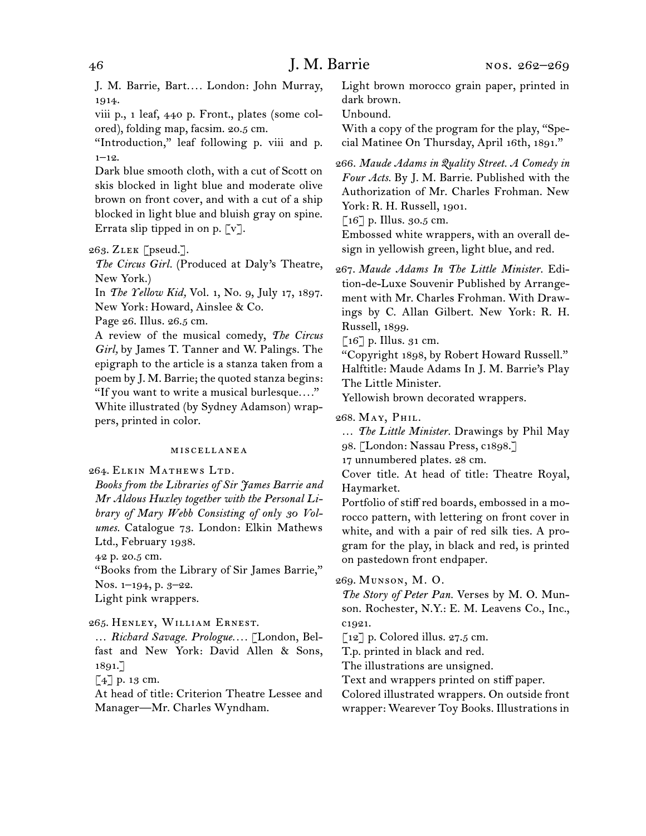J. M. Barrie, Bart*. . . .* London: John Murray, 1914.

viii p., 1 leaf, 440 p. Front., plates (some colored), folding map, facsim. 20.5 cm.

"Introduction," leaf following p. viii and p.  $1 - 12.$ 

Dark blue smooth cloth, with a cut of Scott on skis blocked in light blue and moderate olive brown on front cover, and with a cut of a ship blocked in light blue and bluish gray on spine. Errata slip tipped in on p.  $\lceil v \rceil$ .

263.  Zlek [pseud.].

*The Circus Girl.* (Produced at Daly's Theatre, New York.)

In *The Yellow Kid,* Vol. 1, No. 9, July 17, 1897. New York: Howard, Ainslee & Co.

Page 26. Illus. 26.5 cm.

A review of the musical comedy, *The Circus Girl,* by James T. Tanner and W. Palings. The epigraph to the article is a stanza taken from a poem by J. M. Barrie; the quoted stanza begins: "If you want to write a musical burlesque*. . . .*" White illustrated (by Sydney Adamson) wrap-

pers, printed in color.

#### miscellanea

264.  Elkin Mathews Ltd.

*Books from the Libraries of Sir James Barrie and Mr Aldous Huxley together with the Personal Library of Mary Webb Consisting of only 30 Volumes.* Catalogue 73. London: Elkin Mathews Ltd., February 1938.

42 p. 20.5 cm.

"Books from the Library of Sir James Barrie," Nos. 1–194, p. 3–22.

Light pink wrappers.

#### 265.  Henley, William Ernest.

… *Richard Savage. Prologue. . . .* [London, Belfast and New York: David Allen & Sons, 1891.]

[4] p. 13 cm.

At head of title: Criterion Theatre Lessee and Manager—Mr. Charles Wyndham.

Light brown morocco grain paper, printed in dark brown.

Unbound.

With a copy of the program for the play, "Special Matinee On Thursday, April 16th, 1891."

266.  *Maude Adams in Quality Street. A Comedy in Four Acts.* By J. M. Barrie. Published with the Authorization of Mr. Charles Frohman. New York: R. H. Russell, 1901.

 $\lceil 16 \rceil$  p. Illus. 30.5 cm.

Embossed white wrappers, with an overall design in yellowish green, light blue, and red.

267.  *Maude Adams In The Little Minister.* Edition-de-Luxe Souvenir Published by Arrangement with Mr. Charles Frohman. With Drawings by C. Allan Gilbert. New York: R. H. Russell, 1899.

 $\lceil 16 \rceil$  p. Illus. 31 cm.

"Copyright 1898, by Robert Howard Russell." Halftitle: Maude Adams In J. M. Barrie's Play The Little Minister.

Yellowish brown decorated wrappers.

268.  May, Phil.

… *The Little Minister.* Drawings by Phil May

98. [London: Nassau Press, c1898.]

17 unnumbered plates. 28 cm.

Cover title. At head of title: Theatre Royal, Haymarket.

Portfolio of stiff red boards, embossed in a morocco pattern, with lettering on front cover in white, and with a pair of red silk ties. A program for the play, in black and red, is printed on pastedown front endpaper.

269.  Munson, M. O.

*The Story of Peter Pan.* Verses by M. O. Munson. Rochester, N.Y.: E. M. Leavens Co., Inc., c1921.

 $\lceil 12 \rceil$  p. Colored illus. 27.5 cm.

T.p. printed in black and red.

The illustrations are unsigned.

Text and wrappers printed on stiff paper.

Colored illustrated wrappers. On outside front wrapper: Wearever Toy Books. Illustrations in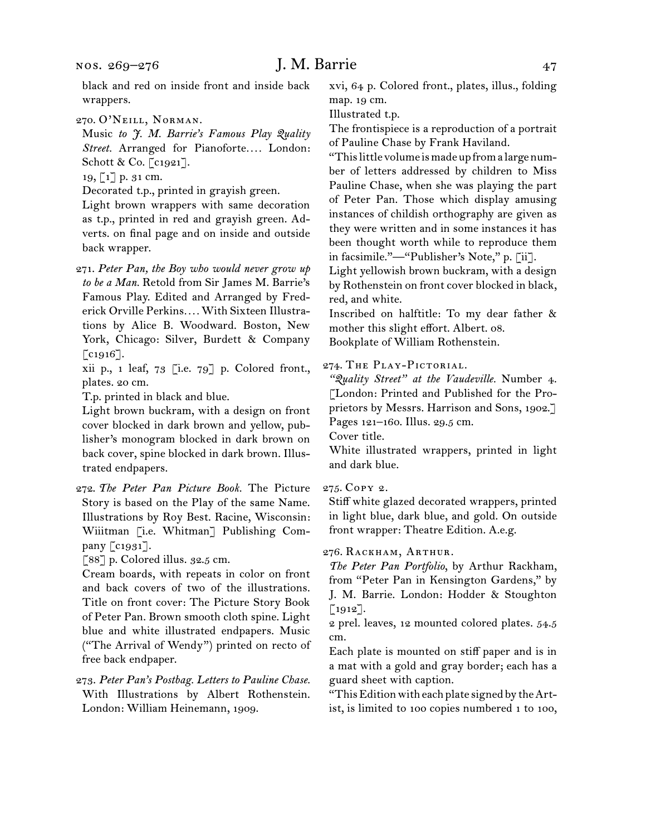270.  O'Neill, Norman.

Music *to J. M. Barrie's Famous Play Quality Street.* Arranged for Pianoforte*. . . .* London: Schott & Co. [c1921].

19, [1] p. 31 cm.

Decorated t.p., printed in grayish green.

Light brown wrappers with same decoration as t.p., printed in red and grayish green. Adverts. on final page and on inside and outside back wrapper.

271.  *Peter Pan, the Boy who would never grow up to be a Man.* Retold from Sir James M. Barrie's Famous Play. Edited and Arranged by Frederick Orville Perkins*. . . .* With Sixteen Illustrations by Alice B. Woodward. Boston, New York, Chicago: Silver, Burdett & Company [c<sub>1916</sub>].

xii p., 1 leaf, 73 [i.e. 79] p. Colored front., plates. 20 cm.

T.p. printed in black and blue.

Light brown buckram, with a design on front cover blocked in dark brown and yellow, publisher's monogram blocked in dark brown on back cover, spine blocked in dark brown. Illustrated endpapers.

272.  *The Peter Pan Picture Book.* The Picture Story is based on the Play of the same Name. Illustrations by Roy Best. Racine, Wisconsin: Wiiitman [i.e. Whitman] Publishing Company [c1931].

[88] p. Colored illus. 32.5 cm.

Cream boards, with repeats in color on front and back covers of two of the illustrations. Title on front cover: The Picture Story Book of Peter Pan. Brown smooth cloth spine. Light blue and white illustrated endpapers. Music ("The Arrival of Wendy") printed on recto of free back endpaper.

273.  *Peter Pan's Postbag. Letters to Pauline Chase.* With Illustrations by Albert Rothenstein. London: William Heinemann, 1909.

xvi, 64 p. Colored front., plates, illus., folding map. 19 cm.

Illustrated t.p.

The frontispiece is a reproduction of a portrait of Pauline Chase by Frank Haviland.

"This little volume is made up from a large number of letters addressed by children to Miss Pauline Chase, when she was playing the part of Peter Pan. Those which display amusing instances of childish orthography are given as they were written and in some instances it has been thought worth while to reproduce them in facsimile."—"Publisher's Note," p. [ii].

Light yellowish brown buckram, with a design by Rothenstein on front cover blocked in black, red, and white.

Inscribed on halftitle: To my dear father & mother this slight effort. Albert. 08. Bookplate of William Rothenstein.

274.  The Play-Pictorial.

*"Quality Street" at the Vaudeville.* Number 4. [London: Printed and Published for the Proprietors by Messrs. Harrison and Sons, 1902.] Pages 121–160. Illus. 29.5 cm.

Cover title.

White illustrated wrappers, printed in light and dark blue.

#### 275.  Copy 2.

Stiff white glazed decorated wrappers, printed in light blue, dark blue, and gold. On outside front wrapper: Theatre Edition. A.e.g.

### 276.  Rackham, Arthur.

*The Peter Pan Portfolio*, by Arthur Rackham, from "Peter Pan in Kensington Gardens," by J. M. Barrie. London: Hodder & Stoughton [1912].

2 prel. leaves, 12 mounted colored plates. 54.5 cm.

Each plate is mounted on stiff paper and is in a mat with a gold and gray border; each has a guard sheet with caption.

"This Edition with each plate signed by the Artist, is limited to 100 copies numbered 1 to 100,